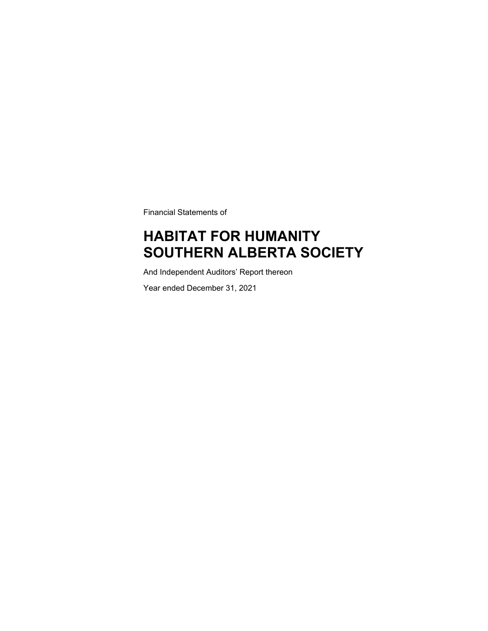Financial Statements of

# **HABITAT FOR HUMANITY SOUTHERN ALBERTA SOCIETY**

And Independent Auditors' Report thereon

Year ended December 31, 2021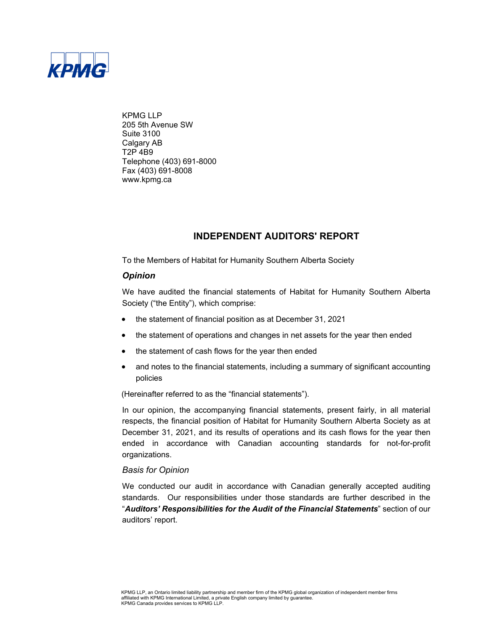

KPMG LLP 205 5th Avenue SW Suite 3100 Calgary AB T2P 4B9 Telephone (403) 691-8000 Fax (403) 691-8008 www.kpmg.ca

### **INDEPENDENT AUDITORS' REPORT**

To the Members of Habitat for Humanity Southern Alberta Society

#### *Opinion*

We have audited the financial statements of Habitat for Humanity Southern Alberta Society ("the Entity"), which comprise:

- the statement of financial position as at December 31, 2021
- the statement of operations and changes in net assets for the year then ended
- the statement of cash flows for the year then ended
- and notes to the financial statements, including a summary of significant accounting policies

(Hereinafter referred to as the "financial statements").

In our opinion, the accompanying financial statements, present fairly, in all material respects, the financial position of Habitat for Humanity Southern Alberta Society as at December 31, 2021, and its results of operations and its cash flows for the year then ended in accordance with Canadian accounting standards for not-for-profit organizations.

#### *Basis for Opinion*

We conducted our audit in accordance with Canadian generally accepted auditing standards. Our responsibilities under those standards are further described in the "*Auditors' Responsibilities for the Audit of the Financial Statements*" section of our auditors' report.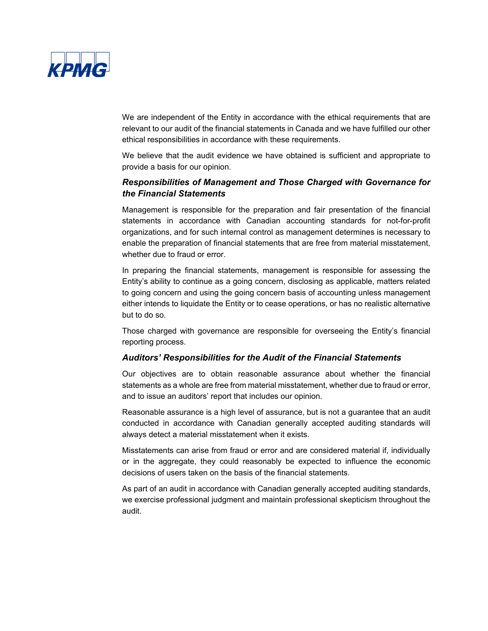

We are independent of the Entity in accordance with the ethical requirements that are relevant to our audit of the financial statements in Canada and we have fulfilled our other ethical responsibilities in accordance with these requirements.

We believe that the audit evidence we have obtained is sufficient and appropriate to provide a basis for our opinion.

### *Responsibilities of Management and Those Charged with Governance for the Financial Statements*

Management is responsible for the preparation and fair presentation of the financial statements in accordance with Canadian accounting standards for not-for-profit organizations, and for such internal control as management determines is necessary to enable the preparation of financial statements that are free from material misstatement, whether due to fraud or error.

In preparing the financial statements, management is responsible for assessing the Entity's ability to continue as a going concern, disclosing as applicable, matters related to going concern and using the going concern basis of accounting unless management either intends to liquidate the Entity or to cease operations, or has no realistic alternative but to do so.

Those charged with governance are responsible for overseeing the Entity's financial reporting process.

### *Auditors' Responsibilities for the Audit of the Financial Statements*

Our objectives are to obtain reasonable assurance about whether the financial statements as a whole are free from material misstatement, whether due to fraud or error, and to issue an auditors' report that includes our opinion.

Reasonable assurance is a high level of assurance, but is not a guarantee that an audit conducted in accordance with Canadian generally accepted auditing standards will always detect a material misstatement when it exists.

Misstatements can arise from fraud or error and are considered material if, individually or in the aggregate, they could reasonably be expected to influence the economic decisions of users taken on the basis of the financial statements.

As part of an audit in accordance with Canadian generally accepted auditing standards, we exercise professional judgment and maintain professional skepticism throughout the audit.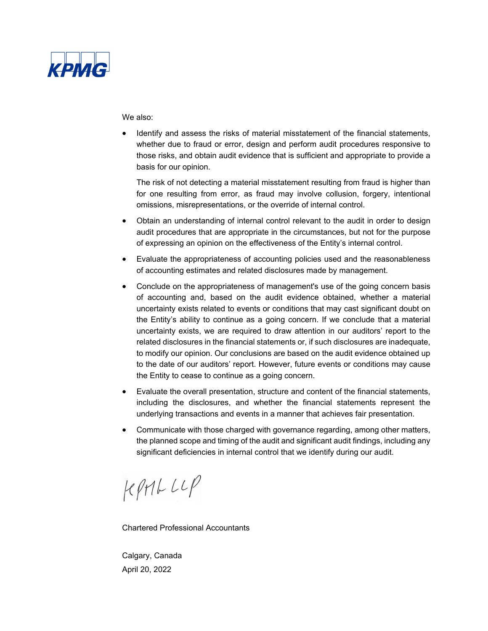

We also:

 Identify and assess the risks of material misstatement of the financial statements, whether due to fraud or error, design and perform audit procedures responsive to those risks, and obtain audit evidence that is sufficient and appropriate to provide a basis for our opinion.

The risk of not detecting a material misstatement resulting from fraud is higher than for one resulting from error, as fraud may involve collusion, forgery, intentional omissions, misrepresentations, or the override of internal control.

- Obtain an understanding of internal control relevant to the audit in order to design audit procedures that are appropriate in the circumstances, but not for the purpose of expressing an opinion on the effectiveness of the Entity's internal control.
- Evaluate the appropriateness of accounting policies used and the reasonableness of accounting estimates and related disclosures made by management.
- Conclude on the appropriateness of management's use of the going concern basis of accounting and, based on the audit evidence obtained, whether a material uncertainty exists related to events or conditions that may cast significant doubt on the Entity's ability to continue as a going concern. If we conclude that a material uncertainty exists, we are required to draw attention in our auditors' report to the related disclosures in the financial statements or, if such disclosures are inadequate, to modify our opinion. Our conclusions are based on the audit evidence obtained up to the date of our auditors' report. However, future events or conditions may cause the Entity to cease to continue as a going concern.
- Evaluate the overall presentation, structure and content of the financial statements, including the disclosures, and whether the financial statements represent the underlying transactions and events in a manner that achieves fair presentation.
- Communicate with those charged with governance regarding, among other matters, the planned scope and timing of the audit and significant audit findings, including any significant deficiencies in internal control that we identify during our audit.

KPMLLLP

Chartered Professional Accountants

Calgary, Canada April 20, 2022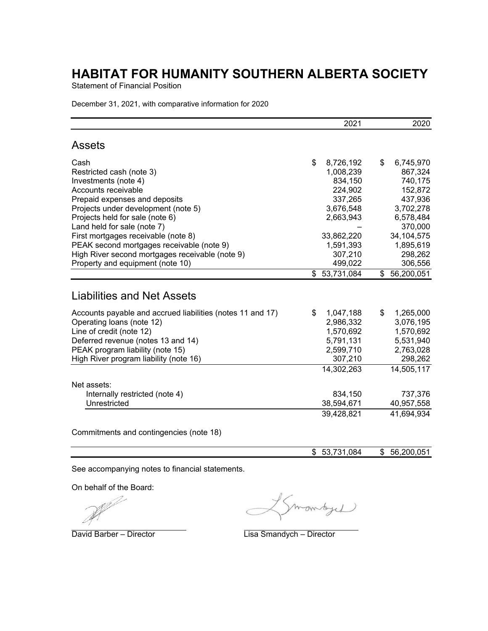Statement of Financial Position

December 31, 2021, with comparative information for 2020

| <b>Assets</b>                                                                       |            |
|-------------------------------------------------------------------------------------|------------|
|                                                                                     |            |
| \$<br>\$<br>Cash<br>8,726,192                                                       | 6,745,970  |
| 1,008,239<br>Restricted cash (note 3)                                               | 867,324    |
| 834,150<br>Investments (note 4)                                                     | 740,175    |
| 224,902<br>Accounts receivable                                                      | 152,872    |
| 337,265<br>Prepaid expenses and deposits                                            | 437,936    |
| Projects under development (note 5)<br>3,676,548                                    | 3,702,278  |
| Projects held for sale (note 6)<br>2,663,943                                        | 6,578,484  |
| Land held for sale (note 7)                                                         | 370,000    |
| First mortgages receivable (note 8)<br>33,862,220                                   | 34,104,575 |
| PEAK second mortgages receivable (note 9)<br>1,591,393                              | 1,895,619  |
| High River second mortgages receivable (note 9)<br>307,210                          | 298,262    |
| Property and equipment (note 10)<br>499,022                                         | 306,556    |
| 53,731,084<br>\$<br>\$                                                              | 56,200,051 |
|                                                                                     |            |
| Liabilities and Net Assets                                                          |            |
| Accounts payable and accrued liabilities (notes 11 and 17)<br>1,047,188<br>\$<br>\$ | 1,265,000  |
| Operating loans (note 12)<br>2,986,332                                              | 3,076,195  |
| Line of credit (note 12)<br>1,570,692                                               | 1,570,692  |
| Deferred revenue (notes 13 and 14)<br>5,791,131                                     | 5,531,940  |
| PEAK program liability (note 15)<br>2,599,710                                       | 2,763,028  |
| High River program liability (note 16)<br>307,210                                   | 298,262    |
| 14,302,263                                                                          | 14,505,117 |
| Net assets:                                                                         |            |
| Internally restricted (note 4)<br>834,150                                           | 737,376    |
| Unrestricted<br>38,594,671                                                          | 40,957,558 |
| 39,428,821                                                                          | 41,694,934 |

Commitments and contingencies (note 18)

| \$53,731,084 |  | \$56,200,051 |
|--------------|--|--------------|
|--------------|--|--------------|

See accompanying notes to financial statements.

On behalf of the Board:

mombyed

David Barber – Director **Lisa Smandych – Director**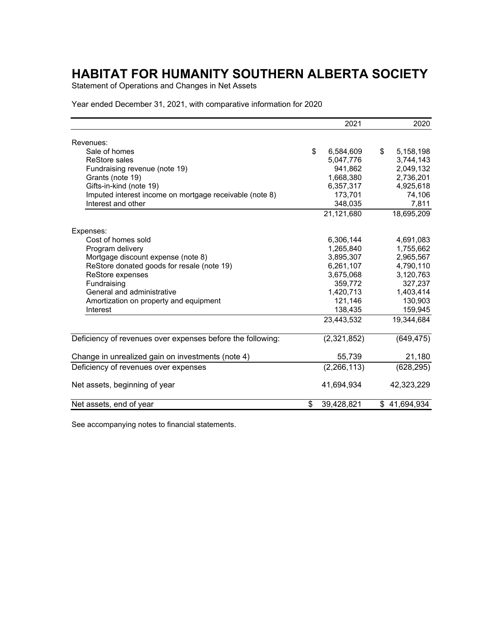Statement of Operations and Changes in Net Assets

Year ended December 31, 2021, with comparative information for 2020

|                                                            | 2021             | 2020            |
|------------------------------------------------------------|------------------|-----------------|
| Revenues:                                                  |                  |                 |
| Sale of homes                                              | \$<br>6,584,609  | \$<br>5,158,198 |
| <b>ReStore sales</b>                                       | 5,047,776        | 3,744,143       |
| Fundraising revenue (note 19)                              | 941,862          | 2,049,132       |
| Grants (note 19)                                           | 1,668,380        | 2,736,201       |
| Gifts-in-kind (note 19)                                    | 6,357,317        | 4,925,618       |
| Imputed interest income on mortgage receivable (note 8)    | 173,701          | 74,106          |
| Interest and other                                         | 348,035          | 7,811           |
|                                                            | 21,121,680       | 18,695,209      |
| Expenses:                                                  |                  |                 |
| Cost of homes sold                                         | 6,306,144        | 4,691,083       |
| Program delivery                                           | 1,265,840        | 1,755,662       |
| Mortgage discount expense (note 8)                         | 3,895,307        | 2,965,567       |
| ReStore donated goods for resale (note 19)                 | 6,261,107        | 4,790,110       |
| ReStore expenses                                           | 3,675,068        | 3,120,763       |
| Fundraising                                                | 359,772          | 327,237         |
| General and administrative                                 | 1,420,713        | 1,403,414       |
| Amortization on property and equipment                     | 121,146          | 130,903         |
| Interest                                                   | 138,435          | 159,945         |
|                                                            | 23,443,532       | 19,344,684      |
| Deficiency of revenues over expenses before the following: | (2,321,852)      | (649, 475)      |
| Change in unrealized gain on investments (note 4)          | 55,739           | 21,180          |
| Deficiency of revenues over expenses                       | (2, 266, 113)    | (628, 295)      |
| Net assets, beginning of year                              | 41,694,934       | 42,323,229      |
| Net assets, end of year                                    | \$<br>39,428,821 | \$41,694,934    |

See accompanying notes to financial statements.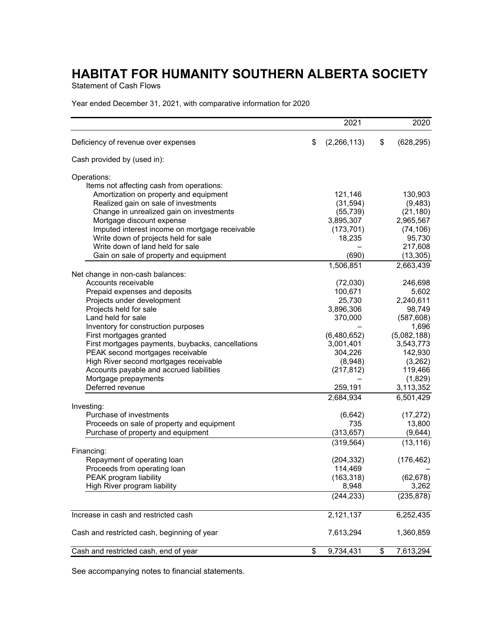Statement of Cash Flows

Year ended December 31, 2021, with comparative information for 2020

|                                                   | 2021              | 2020             |
|---------------------------------------------------|-------------------|------------------|
| Deficiency of revenue over expenses               | \$<br>(2,266,113) | \$<br>(628, 295) |
| Cash provided by (used in):                       |                   |                  |
| Operations:                                       |                   |                  |
| Items not affecting cash from operations:         |                   |                  |
| Amortization on property and equipment            | 121,146           | 130,903          |
| Realized gain on sale of investments              | (31, 594)         | (9, 483)         |
| Change in unrealized gain on investments          | (55, 739)         | (21, 180)        |
| Mortgage discount expense                         | 3,895,307         | 2,965,567        |
| Imputed interest income on mortgage receivable    | (173, 701)        | (74, 106)        |
| Write down of projects held for sale              | 18,235            | 95,730           |
| Write down of land held for sale                  |                   | 217,608          |
| Gain on sale of property and equipment            | (690)             | (13, 305)        |
|                                                   | 1,506,851         | 2,663,439        |
| Net change in non-cash balances:                  |                   |                  |
| Accounts receivable                               | (72,030)          | 246,698          |
| Prepaid expenses and deposits                     | 100,671           | 5,602            |
| Projects under development                        | 25,730            | 2,240,611        |
| Projects held for sale                            | 3,896,306         | 98,749           |
| Land held for sale                                | 370,000           | (587, 608)       |
| Inventory for construction purposes               |                   | 1,696            |
| First mortgages granted                           | (6,480,652)       | (5,082,188)      |
| First mortgages payments, buybacks, cancellations | 3,001,401         | 3,543,773        |
| PEAK second mortgages receivable                  | 304,226           | 142,930          |
| High River second mortgages receivable            | (8,948)           | (3,262)          |
| Accounts payable and accrued liabilities          | (217, 812)        | 119,466          |
| Mortgage prepayments                              |                   | (1,829)          |
| Deferred revenue                                  | 259,191           | 3,113,352        |
| Investing:                                        | 2,684,934         | 6,501,429        |
| Purchase of investments                           | (6, 642)          | (17, 272)        |
| Proceeds on sale of property and equipment        | 735               | 13,800           |
| Purchase of property and equipment                | (313, 657)        | (9,644)          |
|                                                   | (319, 564)        | (13, 116)        |
| Financing:                                        |                   |                  |
| Repayment of operating loan                       | (204, 332)        | (176, 462)       |
| Proceeds from operating loan                      | 114,469           |                  |
| PEAK program liability                            | (163, 318)        | (62, 678)        |
| High River program liability                      | 8,948             | 3,262            |
|                                                   | (244, 233)        | (235, 878)       |
| Increase in cash and restricted cash              | 2,121,137         | 6,252,435        |
|                                                   |                   |                  |
| Cash and restricted cash, beginning of year       | 7,613,294         | 1,360,859        |
| Cash and restricted cash, end of year             | \$<br>9,734,431   | \$<br>7,613,294  |

See accompanying notes to financial statements.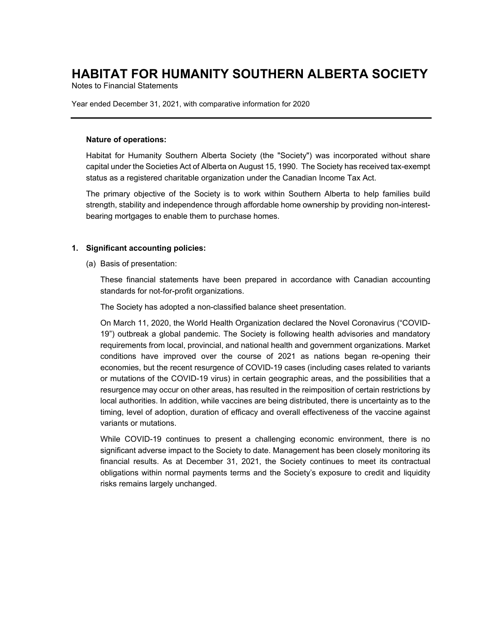Notes to Financial Statements

Year ended December 31, 2021, with comparative information for 2020

#### **Nature of operations:**

Habitat for Humanity Southern Alberta Society (the "Society") was incorporated without share capital under the Societies Act of Alberta on August 15, 1990. The Society has received tax-exempt status as a registered charitable organization under the Canadian Income Tax Act.

The primary objective of the Society is to work within Southern Alberta to help families build strength, stability and independence through affordable home ownership by providing non-interestbearing mortgages to enable them to purchase homes.

#### **1. Significant accounting policies:**

(a) Basis of presentation:

These financial statements have been prepared in accordance with Canadian accounting standards for not-for-profit organizations.

The Society has adopted a non-classified balance sheet presentation.

On March 11, 2020, the World Health Organization declared the Novel Coronavirus ("COVID-19") outbreak a global pandemic. The Society is following health advisories and mandatory requirements from local, provincial, and national health and government organizations. Market conditions have improved over the course of 2021 as nations began re-opening their economies, but the recent resurgence of COVID-19 cases (including cases related to variants or mutations of the COVID-19 virus) in certain geographic areas, and the possibilities that a resurgence may occur on other areas, has resulted in the reimposition of certain restrictions by local authorities. In addition, while vaccines are being distributed, there is uncertainty as to the timing, level of adoption, duration of efficacy and overall effectiveness of the vaccine against variants or mutations.

While COVID-19 continues to present a challenging economic environment, there is no significant adverse impact to the Society to date. Management has been closely monitoring its financial results. As at December 31, 2021, the Society continues to meet its contractual obligations within normal payments terms and the Society's exposure to credit and liquidity risks remains largely unchanged.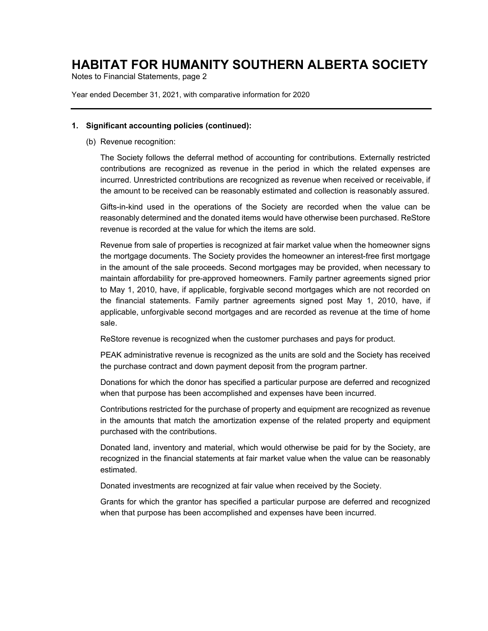Notes to Financial Statements, page 2

Year ended December 31, 2021, with comparative information for 2020

#### **1. Significant accounting policies (continued):**

(b) Revenue recognition:

The Society follows the deferral method of accounting for contributions. Externally restricted contributions are recognized as revenue in the period in which the related expenses are incurred. Unrestricted contributions are recognized as revenue when received or receivable, if the amount to be received can be reasonably estimated and collection is reasonably assured.

Gifts-in-kind used in the operations of the Society are recorded when the value can be reasonably determined and the donated items would have otherwise been purchased. ReStore revenue is recorded at the value for which the items are sold.

Revenue from sale of properties is recognized at fair market value when the homeowner signs the mortgage documents. The Society provides the homeowner an interest-free first mortgage in the amount of the sale proceeds. Second mortgages may be provided, when necessary to maintain affordability for pre-approved homeowners. Family partner agreements signed prior to May 1, 2010, have, if applicable, forgivable second mortgages which are not recorded on the financial statements. Family partner agreements signed post May 1, 2010, have, if applicable, unforgivable second mortgages and are recorded as revenue at the time of home sale.

ReStore revenue is recognized when the customer purchases and pays for product.

PEAK administrative revenue is recognized as the units are sold and the Society has received the purchase contract and down payment deposit from the program partner.

Donations for which the donor has specified a particular purpose are deferred and recognized when that purpose has been accomplished and expenses have been incurred.

Contributions restricted for the purchase of property and equipment are recognized as revenue in the amounts that match the amortization expense of the related property and equipment purchased with the contributions.

Donated land, inventory and material, which would otherwise be paid for by the Society, are recognized in the financial statements at fair market value when the value can be reasonably estimated.

Donated investments are recognized at fair value when received by the Society.

Grants for which the grantor has specified a particular purpose are deferred and recognized when that purpose has been accomplished and expenses have been incurred.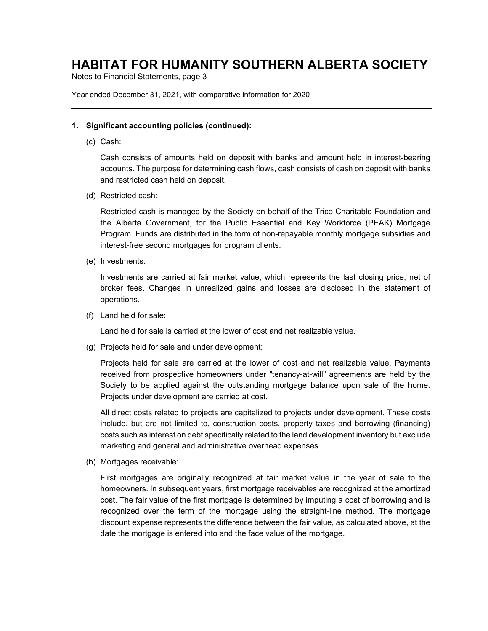Notes to Financial Statements, page 3

Year ended December 31, 2021, with comparative information for 2020

#### **1. Significant accounting policies (continued):**

(c) Cash:

Cash consists of amounts held on deposit with banks and amount held in interest-bearing accounts. The purpose for determining cash flows, cash consists of cash on deposit with banks and restricted cash held on deposit.

(d) Restricted cash:

Restricted cash is managed by the Society on behalf of the Trico Charitable Foundation and the Alberta Government, for the Public Essential and Key Workforce (PEAK) Mortgage Program. Funds are distributed in the form of non-repayable monthly mortgage subsidies and interest-free second mortgages for program clients.

(e) Investments:

Investments are carried at fair market value, which represents the last closing price, net of broker fees. Changes in unrealized gains and losses are disclosed in the statement of operations.

(f) Land held for sale:

Land held for sale is carried at the lower of cost and net realizable value.

(g) Projects held for sale and under development:

Projects held for sale are carried at the lower of cost and net realizable value. Payments received from prospective homeowners under "tenancy-at-will" agreements are held by the Society to be applied against the outstanding mortgage balance upon sale of the home. Projects under development are carried at cost.

All direct costs related to projects are capitalized to projects under development. These costs include, but are not limited to, construction costs, property taxes and borrowing (financing) costs such as interest on debt specifically related to the land development inventory but exclude marketing and general and administrative overhead expenses.

(h) Mortgages receivable:

First mortgages are originally recognized at fair market value in the year of sale to the homeowners. In subsequent years, first mortgage receivables are recognized at the amortized cost. The fair value of the first mortgage is determined by imputing a cost of borrowing and is recognized over the term of the mortgage using the straight-line method. The mortgage discount expense represents the difference between the fair value, as calculated above, at the date the mortgage is entered into and the face value of the mortgage.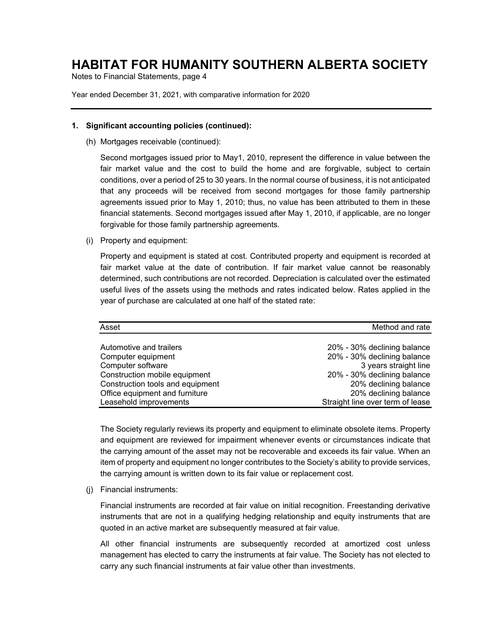Notes to Financial Statements, page 4

Year ended December 31, 2021, with comparative information for 2020

#### **1. Significant accounting policies (continued):**

(h) Mortgages receivable (continued):

Second mortgages issued prior to May1, 2010, represent the difference in value between the fair market value and the cost to build the home and are forgivable, subject to certain conditions, over a period of 25 to 30 years. In the normal course of business, it is not anticipated that any proceeds will be received from second mortgages for those family partnership agreements issued prior to May 1, 2010; thus, no value has been attributed to them in these financial statements. Second mortgages issued after May 1, 2010, if applicable, are no longer forgivable for those family partnership agreements.

(i) Property and equipment:

Property and equipment is stated at cost. Contributed property and equipment is recorded at fair market value at the date of contribution. If fair market value cannot be reasonably determined, such contributions are not recorded. Depreciation is calculated over the estimated useful lives of the assets using the methods and rates indicated below. Rates applied in the year of purchase are calculated at one half of the stated rate:

| Asset                            | Method and rate                  |
|----------------------------------|----------------------------------|
|                                  |                                  |
| Automotive and trailers          | 20% - 30% declining balance      |
| Computer equipment               | 20% - 30% declining balance      |
| Computer software                | 3 years straight line            |
| Construction mobile equipment    | 20% - 30% declining balance      |
| Construction tools and equipment | 20% declining balance            |
| Office equipment and furniture   | 20% declining balance            |
| Leasehold improvements           | Straight line over term of lease |

The Society regularly reviews its property and equipment to eliminate obsolete items. Property and equipment are reviewed for impairment whenever events or circumstances indicate that the carrying amount of the asset may not be recoverable and exceeds its fair value. When an item of property and equipment no longer contributes to the Society's ability to provide services, the carrying amount is written down to its fair value or replacement cost.

(j) Financial instruments:

Financial instruments are recorded at fair value on initial recognition. Freestanding derivative instruments that are not in a qualifying hedging relationship and equity instruments that are quoted in an active market are subsequently measured at fair value.

All other financial instruments are subsequently recorded at amortized cost unless management has elected to carry the instruments at fair value. The Society has not elected to carry any such financial instruments at fair value other than investments.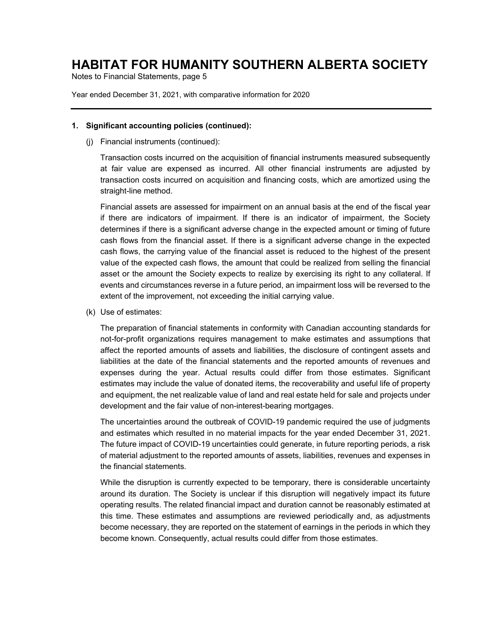Notes to Financial Statements, page 5

Year ended December 31, 2021, with comparative information for 2020

#### **1. Significant accounting policies (continued):**

(j) Financial instruments (continued):

Transaction costs incurred on the acquisition of financial instruments measured subsequently at fair value are expensed as incurred. All other financial instruments are adjusted by transaction costs incurred on acquisition and financing costs, which are amortized using the straight-line method.

Financial assets are assessed for impairment on an annual basis at the end of the fiscal year if there are indicators of impairment. If there is an indicator of impairment, the Society determines if there is a significant adverse change in the expected amount or timing of future cash flows from the financial asset. If there is a significant adverse change in the expected cash flows, the carrying value of the financial asset is reduced to the highest of the present value of the expected cash flows, the amount that could be realized from selling the financial asset or the amount the Society expects to realize by exercising its right to any collateral. If events and circumstances reverse in a future period, an impairment loss will be reversed to the extent of the improvement, not exceeding the initial carrying value.

(k) Use of estimates:

The preparation of financial statements in conformity with Canadian accounting standards for not-for-profit organizations requires management to make estimates and assumptions that affect the reported amounts of assets and liabilities, the disclosure of contingent assets and liabilities at the date of the financial statements and the reported amounts of revenues and expenses during the year. Actual results could differ from those estimates. Significant estimates may include the value of donated items, the recoverability and useful life of property and equipment, the net realizable value of land and real estate held for sale and projects under development and the fair value of non-interest-bearing mortgages.

The uncertainties around the outbreak of COVID-19 pandemic required the use of judgments and estimates which resulted in no material impacts for the year ended December 31, 2021. The future impact of COVID-19 uncertainties could generate, in future reporting periods, a risk of material adjustment to the reported amounts of assets, liabilities, revenues and expenses in the financial statements.

While the disruption is currently expected to be temporary, there is considerable uncertainty around its duration. The Society is unclear if this disruption will negatively impact its future operating results. The related financial impact and duration cannot be reasonably estimated at this time. These estimates and assumptions are reviewed periodically and, as adjustments become necessary, they are reported on the statement of earnings in the periods in which they become known. Consequently, actual results could differ from those estimates.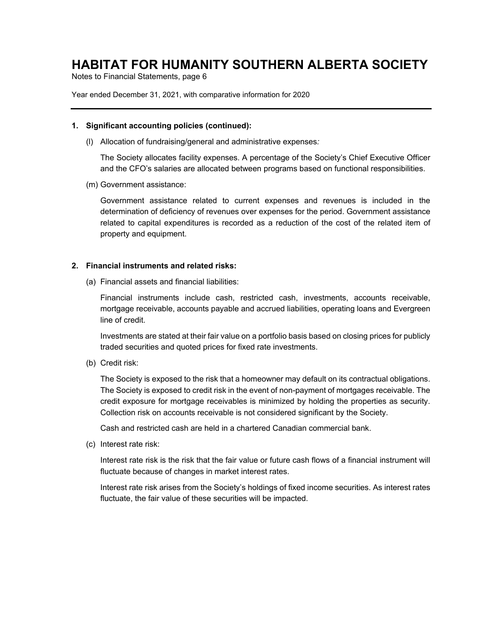Notes to Financial Statements, page 6

Year ended December 31, 2021, with comparative information for 2020

#### **1. Significant accounting policies (continued):**

(l) Allocation of fundraising/general and administrative expenses*:*

The Society allocates facility expenses. A percentage of the Society's Chief Executive Officer and the CFO's salaries are allocated between programs based on functional responsibilities.

(m) Government assistance:

Government assistance related to current expenses and revenues is included in the determination of deficiency of revenues over expenses for the period. Government assistance related to capital expenditures is recorded as a reduction of the cost of the related item of property and equipment.

#### **2. Financial instruments and related risks:**

(a) Financial assets and financial liabilities:

Financial instruments include cash, restricted cash, investments, accounts receivable, mortgage receivable, accounts payable and accrued liabilities, operating loans and Evergreen line of credit.

Investments are stated at their fair value on a portfolio basis based on closing prices for publicly traded securities and quoted prices for fixed rate investments.

(b) Credit risk:

The Society is exposed to the risk that a homeowner may default on its contractual obligations. The Society is exposed to credit risk in the event of non-payment of mortgages receivable. The credit exposure for mortgage receivables is minimized by holding the properties as security. Collection risk on accounts receivable is not considered significant by the Society.

Cash and restricted cash are held in a chartered Canadian commercial bank.

(c) Interest rate risk:

Interest rate risk is the risk that the fair value or future cash flows of a financial instrument will fluctuate because of changes in market interest rates.

Interest rate risk arises from the Society's holdings of fixed income securities. As interest rates fluctuate, the fair value of these securities will be impacted.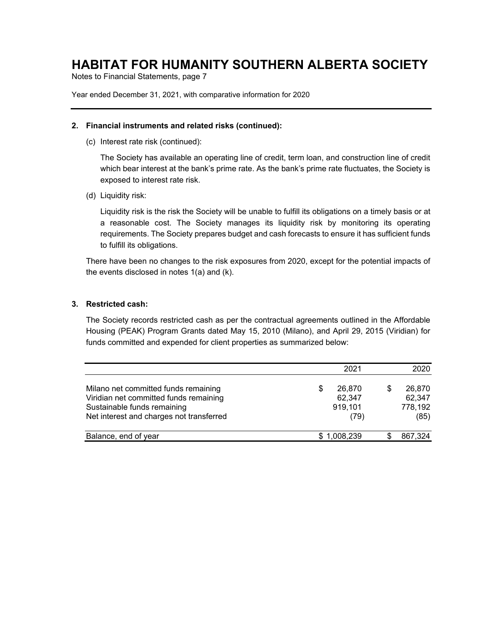Notes to Financial Statements, page 7

Year ended December 31, 2021, with comparative information for 2020

#### **2. Financial instruments and related risks (continued):**

(c) Interest rate risk (continued):

The Society has available an operating line of credit, term loan, and construction line of credit which bear interest at the bank's prime rate. As the bank's prime rate fluctuates, the Society is exposed to interest rate risk.

(d) Liquidity risk:

Liquidity risk is the risk the Society will be unable to fulfill its obligations on a timely basis or at a reasonable cost. The Society manages its liquidity risk by monitoring its operating requirements. The Society prepares budget and cash forecasts to ensure it has sufficient funds to fulfill its obligations.

There have been no changes to the risk exposures from 2020, except for the potential impacts of the events disclosed in notes 1(a) and (k).

#### **3. Restricted cash:**

The Society records restricted cash as per the contractual agreements outlined in the Affordable Housing (PEAK) Program Grants dated May 15, 2010 (Milano), and April 29, 2015 (Viridian) for funds committed and expended for client properties as summarized below:

|                                                                                                                                                           | 2021                                     |   | 2020                                |
|-----------------------------------------------------------------------------------------------------------------------------------------------------------|------------------------------------------|---|-------------------------------------|
| Milano net committed funds remaining<br>Viridian net committed funds remaining<br>Sustainable funds remaining<br>Net interest and charges not transferred | 26,870<br>S<br>62,347<br>919,101<br>(79) | S | 26,870<br>62,347<br>778,192<br>(85) |
| Balance, end of year                                                                                                                                      | \$1.008.239                              |   | 867,324                             |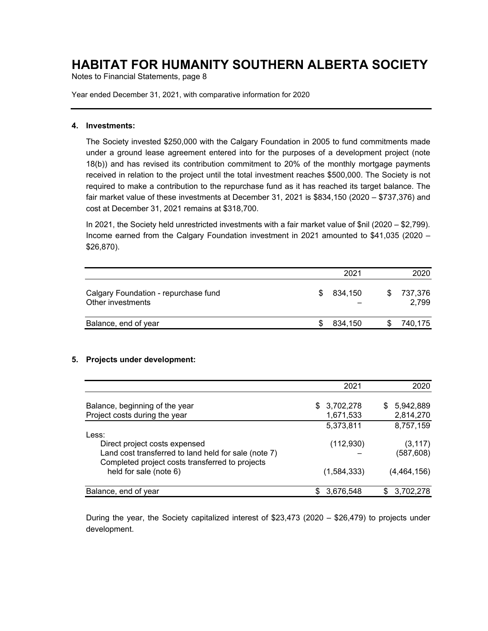Notes to Financial Statements, page 8

Year ended December 31, 2021, with comparative information for 2020

#### **4. Investments:**

The Society invested \$250,000 with the Calgary Foundation in 2005 to fund commitments made under a ground lease agreement entered into for the purposes of a development project (note 18(b)) and has revised its contribution commitment to 20% of the monthly mortgage payments received in relation to the project until the total investment reaches \$500,000. The Society is not required to make a contribution to the repurchase fund as it has reached its target balance. The fair market value of these investments at December 31, 2021 is \$834,150 (2020 – \$737,376) and cost at December 31, 2021 remains at \$318,700.

In 2021, the Society held unrestricted investments with a fair market value of \$nil (2020 – \$2,799). Income earned from the Calgary Foundation investment in 2021 amounted to \$41,035 (2020 – \$26,870).

|                                                           |     | 2021    |    | 2020             |
|-----------------------------------------------------------|-----|---------|----|------------------|
| Calgary Foundation - repurchase fund<br>Other investments | SS. | 834.150 | S. | 737,376<br>2.799 |
| Balance, end of year                                      |     | 834,150 |    | 740,175          |

#### **5. Projects under development:**

|                                                                                                         | 2021             | 2020             |
|---------------------------------------------------------------------------------------------------------|------------------|------------------|
|                                                                                                         |                  |                  |
| Balance, beginning of the year                                                                          | 3,702,278<br>\$  | 5,942,889<br>S.  |
| Project costs during the year                                                                           | 1,671,533        | 2,814,270        |
|                                                                                                         | 5,373,811        | 8,757,159        |
| Less:                                                                                                   |                  |                  |
| Direct project costs expensed                                                                           | (112,930)        | (3, 117)         |
| Land cost transferred to land held for sale (note 7)<br>Completed project costs transferred to projects |                  | (587,608)        |
| held for sale (note 6)                                                                                  | (1,584,333)      | (4,464,156)      |
| Balance, end of year                                                                                    | 3,676,548<br>\$. | 3,702,278<br>\$. |

During the year, the Society capitalized interest of \$23,473 (2020 – \$26,479) to projects under development.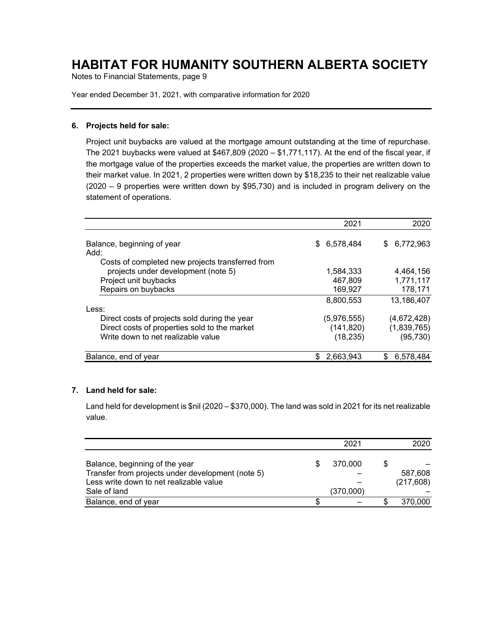Notes to Financial Statements, page 9

Year ended December 31, 2021, with comparative information for 2020

#### **6. Projects held for sale:**

Project unit buybacks are valued at the mortgage amount outstanding at the time of repurchase. The 2021 buybacks were valued at  $$467,809$  (2020 –  $$1,771,117$ ). At the end of the fiscal year, if the mortgage value of the properties exceeds the market value, the properties are written down to their market value. In 2021, 2 properties were written down by \$18,235 to their net realizable value (2020 – 9 properties were written down by \$95,730) and is included in program delivery on the statement of operations.

|                                                  | 2021         | 2020            |
|--------------------------------------------------|--------------|-----------------|
| Balance, beginning of year<br>Add:               | \$ 6,578,484 | 6,772,963<br>S. |
| Costs of completed new projects transferred from |              |                 |
| projects under development (note 5)              | 1,584,333    | 4,464,156       |
| Project unit buybacks                            | 467,809      | 1,771,117       |
| Repairs on buybacks                              | 169,927      | 178,171         |
|                                                  | 8,800,553    | 13,186,407      |
| Less:                                            |              |                 |
| Direct costs of projects sold during the year    | (5,976,555)  | (4,672,428)     |
| Direct costs of properties sold to the market    | (141, 820)   | (1,839,765)     |
| Write down to net realizable value               | (18, 235)    | (95, 730)       |
| Balance, end of year                             | 2,663,943    | 6,578,484       |

### **7. Land held for sale:**

Land held for development is \$nil (2020 – \$370,000). The land was sold in 2021 for its net realizable value.

|                                                                                     | 2021      | 2020       |
|-------------------------------------------------------------------------------------|-----------|------------|
| Balance, beginning of the year<br>Transfer from projects under development (note 5) | 370,000   | 587,608    |
| Less write down to net realizable value<br>Sale of land                             | (370,000) | (217, 608) |
| Balance, end of year                                                                |           | 370,000    |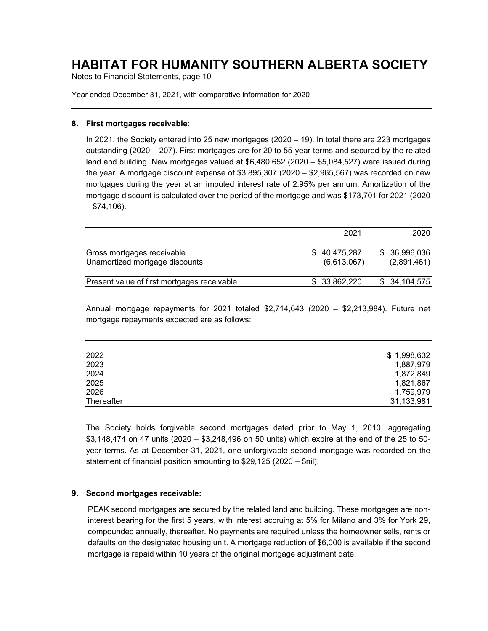Notes to Financial Statements, page 10

Year ended December 31, 2021, with comparative information for 2020

#### **8. First mortgages receivable:**

In 2021, the Society entered into 25 new mortgages (2020 – 19). In total there are 223 mortgages outstanding (2020 – 207). First mortgages are for 20 to 55-year terms and secured by the related land and building. New mortgages valued at \$6,480,652 (2020 – \$5,084,527) were issued during the year. A mortgage discount expense of \$3,895,307 (2020 – \$2,965,567) was recorded on new mortgages during the year at an imputed interest rate of 2.95% per annum. Amortization of the mortgage discount is calculated over the period of the mortgage and was \$173,701 for 2021 (2020  $-$  \$74,106).

|                                                              | 2021                        | 2020                         |
|--------------------------------------------------------------|-----------------------------|------------------------------|
| Gross mortgages receivable<br>Unamortized mortgage discounts | \$40,475,287<br>(6,613,067) | \$ 36,996,036<br>(2,891,461) |
| Present value of first mortgages receivable                  | \$33,862,220                | \$34,104,575                 |

Annual mortgage repayments for 2021 totaled \$2,714,643 (2020 – \$2,213,984). Future net mortgage repayments expected are as follows:

| 2022       | \$1,998,632 |
|------------|-------------|
| 2023       | 1,887,979   |
| 2024       | 1,872,849   |
| 2025       | 1,821,867   |
| 2026       | 1,759,979   |
| Thereafter | 31,133,981  |

The Society holds forgivable second mortgages dated prior to May 1, 2010, aggregating \$3,148,474 on 47 units (2020 – \$3,248,496 on 50 units) which expire at the end of the 25 to 50 year terms. As at December 31, 2021, one unforgivable second mortgage was recorded on the statement of financial position amounting to \$29,125 (2020 – \$nil).

### **9. Second mortgages receivable:**

PEAK second mortgages are secured by the related land and building. These mortgages are noninterest bearing for the first 5 years, with interest accruing at 5% for Milano and 3% for York 29, compounded annually, thereafter. No payments are required unless the homeowner sells, rents or defaults on the designated housing unit. A mortgage reduction of \$6,000 is available if the second mortgage is repaid within 10 years of the original mortgage adjustment date.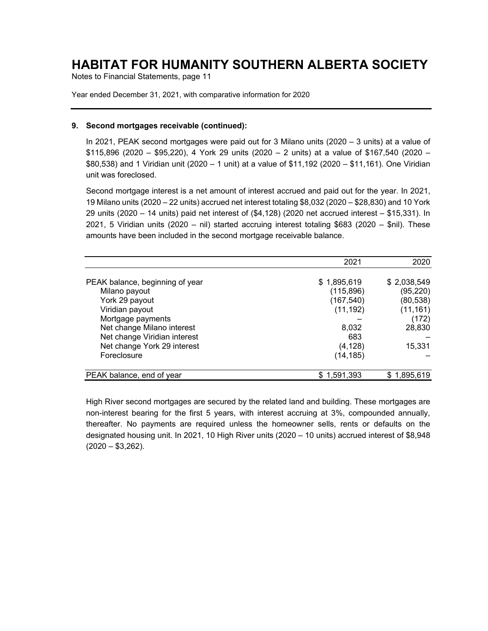Notes to Financial Statements, page 11

Year ended December 31, 2021, with comparative information for 2020

#### **9. Second mortgages receivable (continued):**

In 2021, PEAK second mortgages were paid out for 3 Milano units (2020 – 3 units) at a value of \$115,896 (2020 – \$95,220), 4 York 29 units (2020 – 2 units) at a value of \$167,540 (2020 – \$80,538) and 1 Viridian unit (2020 – 1 unit) at a value of \$11,192 (2020 – \$11,161). One Viridian unit was foreclosed.

Second mortgage interest is a net amount of interest accrued and paid out for the year. In 2021, 19 Milano units (2020 – 22 units) accrued net interest totaling \$8,032 (2020 – \$28,830) and 10 York 29 units (2020 – 14 units) paid net interest of (\$4,128) (2020 net accrued interest – \$15,331). In 2021, 5 Viridian units (2020 – nil) started accruing interest totaling \$683 (2020 – \$nil). These amounts have been included in the second mortgage receivable balance.

|                                 | 2021        | 2020             |
|---------------------------------|-------------|------------------|
|                                 |             |                  |
| PEAK balance, beginning of year | \$1,895,619 | \$2,038,549      |
| Milano payout                   | (115, 896)  | (95, 220)        |
| York 29 payout                  | (167, 540)  | (80, 538)        |
| Viridian payout                 | (11, 192)   | (11, 161)        |
| Mortgage payments               |             | (172)            |
| Net change Milano interest      | 8,032       | 28,830           |
| Net change Viridian interest    | 683         |                  |
| Net change York 29 interest     | (4, 128)    | 15,331           |
| Foreclosure                     | (14, 185)   |                  |
| PEAK balance, end of year       | \$1,591,393 | 1,895,619<br>\$. |

High River second mortgages are secured by the related land and building. These mortgages are non-interest bearing for the first 5 years, with interest accruing at 3%, compounded annually, thereafter. No payments are required unless the homeowner sells, rents or defaults on the designated housing unit. In 2021, 10 High River units (2020 – 10 units) accrued interest of \$8,948  $(2020 - $3,262)$ .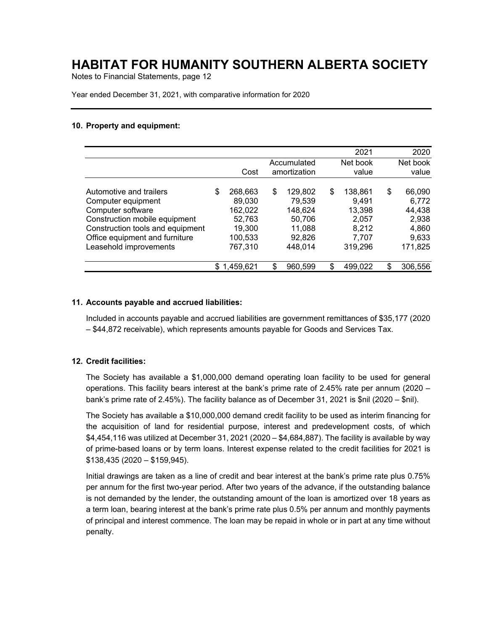Notes to Financial Statements, page 12

Year ended December 31, 2021, with comparative information for 2020

#### **10. Property and equipment:**

|                                  |               |               |     | 2021     |    | 2020     |
|----------------------------------|---------------|---------------|-----|----------|----|----------|
|                                  |               | Accumulated   |     | Net book |    | Net book |
|                                  | Cost          | amortization  |     | value    |    | value    |
| Automotive and trailers          | \$<br>268,663 | \$<br>129.802 | \$  | 138.861  | \$ | 66,090   |
| Computer equipment               | 89,030        | 79.539        |     | 9.491    |    | 6,772    |
| Computer software                | 162,022       | 148,624       |     | 13,398   |    | 44,438   |
| Construction mobile equipment    | 52,763        | 50,706        |     | 2,057    |    | 2,938    |
| Construction tools and equipment | 19,300        | 11,088        |     | 8,212    |    | 4,860    |
| Office equipment and furniture   | 100,533       | 92,826        |     | 7.707    |    | 9,633    |
| Leasehold improvements           | 767,310       | 448,014       |     | 319,296  |    | 171,825  |
|                                  | \$1,459,621   | \$<br>960,599 | \$. | 499,022  | S  | 306,556  |

#### **11. Accounts payable and accrued liabilities:**

Included in accounts payable and accrued liabilities are government remittances of \$35,177 (2020 – \$44,872 receivable), which represents amounts payable for Goods and Services Tax.

### **12. Credit facilities:**

The Society has available a \$1,000,000 demand operating loan facility to be used for general operations. This facility bears interest at the bank's prime rate of 2.45% rate per annum (2020 – bank's prime rate of 2.45%). The facility balance as of December 31, 2021 is \$nil (2020 – \$nil).

The Society has available a \$10,000,000 demand credit facility to be used as interim financing for the acquisition of land for residential purpose, interest and predevelopment costs, of which \$4,454,116 was utilized at December 31, 2021 (2020 – \$4,684,887). The facility is available by way of prime-based loans or by term loans. Interest expense related to the credit facilities for 2021 is \$138,435 (2020 – \$159,945).

Initial drawings are taken as a line of credit and bear interest at the bank's prime rate plus 0.75% per annum for the first two-year period. After two years of the advance, if the outstanding balance is not demanded by the lender, the outstanding amount of the loan is amortized over 18 years as a term loan, bearing interest at the bank's prime rate plus 0.5% per annum and monthly payments of principal and interest commence. The loan may be repaid in whole or in part at any time without penalty.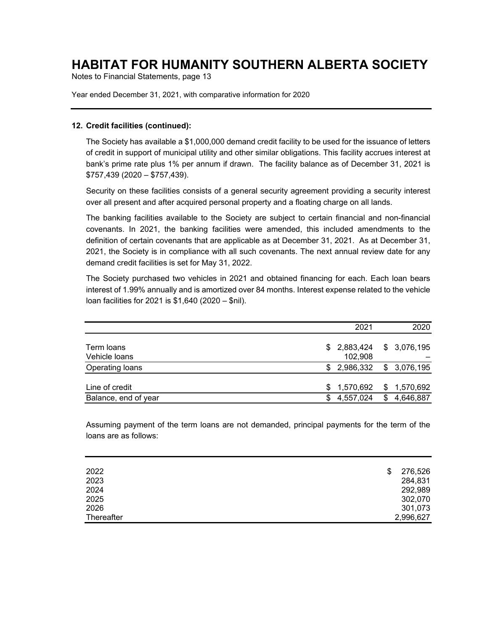Notes to Financial Statements, page 13

Year ended December 31, 2021, with comparative information for 2020

#### **12. Credit facilities (continued):**

The Society has available a \$1,000,000 demand credit facility to be used for the issuance of letters of credit in support of municipal utility and other similar obligations. This facility accrues interest at bank's prime rate plus 1% per annum if drawn. The facility balance as of December 31, 2021 is \$757,439 (2020 – \$757,439).

Security on these facilities consists of a general security agreement providing a security interest over all present and after acquired personal property and a floating charge on all lands.

The banking facilities available to the Society are subject to certain financial and non-financial covenants. In 2021, the banking facilities were amended, this included amendments to the definition of certain covenants that are applicable as at December 31, 2021. As at December 31, 2021, the Society is in compliance with all such covenants. The next annual review date for any demand credit facilities is set for May 31, 2022.

The Society purchased two vehicles in 2021 and obtained financing for each. Each loan bears interest of 1.99% annually and is amortized over 84 months. Interest expense related to the vehicle loan facilities for 2021 is \$1,640 (2020 – \$nil).

|                             |    | 2021                 | 2020            |
|-----------------------------|----|----------------------|-----------------|
| Term loans<br>Vehicle loans | \$ | 2,883,424<br>102,908 | \$3,076,195     |
| Operating loans             |    | \$2,986,332          | \$3,076,195     |
| Line of credit              | S  | 1,570,692            | \$1,570,692     |
| Balance, end of year        | \$ | 4,557,024            | \$<br>4,646,887 |

Assuming payment of the term loans are not demanded, principal payments for the term of the loans are as follows:

| 2022<br>2023 | 276,526<br>\$<br>284,831 |  |
|--------------|--------------------------|--|
| 2024         | 292,989                  |  |
| 2025         | 302,070                  |  |
| 2026         | 301,073                  |  |
| Thereafter   | 2,996,627                |  |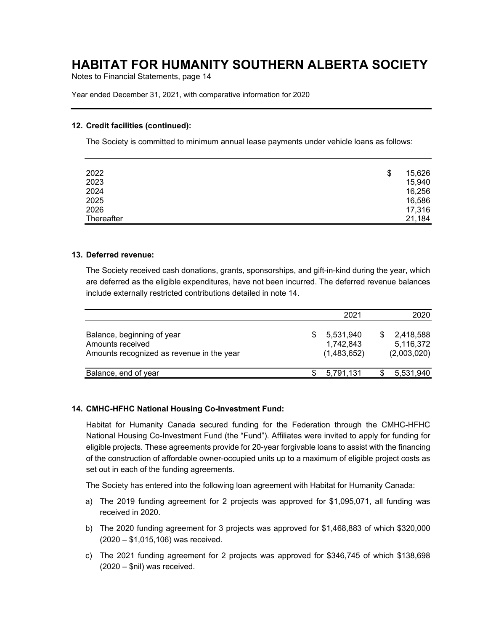Notes to Financial Statements, page 14

Year ended December 31, 2021, with comparative information for 2020

### **12. Credit facilities (continued):**

The Society is committed to minimum annual lease payments under vehicle loans as follows:

| 2022       | \$<br>15,626 |
|------------|--------------|
| 2023       | 15,940       |
| 2024       | 16,256       |
| 2025       | 16,586       |
| 2026       | 17,316       |
| Thereafter | 21,184       |

#### **13. Deferred revenue:**

The Society received cash donations, grants, sponsorships, and gift-in-kind during the year, which are deferred as the eligible expenditures, have not been incurred. The deferred revenue balances include externally restricted contributions detailed in note 14.

|                                                                                             | 2021                                  | 2020                                  |
|---------------------------------------------------------------------------------------------|---------------------------------------|---------------------------------------|
| Balance, beginning of year<br>Amounts received<br>Amounts recognized as revenue in the year | 5,531,940<br>1,742,843<br>(1,483,652) | 2,418,588<br>5,116,372<br>(2,003,020) |
| Balance, end of year                                                                        | 5,791,131                             | 5,531,940                             |

#### **14. CMHC-HFHC National Housing Co-Investment Fund:**

Habitat for Humanity Canada secured funding for the Federation through the CMHC-HFHC National Housing Co-Investment Fund (the "Fund"). Affiliates were invited to apply for funding for eligible projects. These agreements provide for 20-year forgivable loans to assist with the financing of the construction of affordable owner-occupied units up to a maximum of eligible project costs as set out in each of the funding agreements.

The Society has entered into the following loan agreement with Habitat for Humanity Canada:

- a) The 2019 funding agreement for 2 projects was approved for \$1,095,071, all funding was received in 2020.
- b) The 2020 funding agreement for 3 projects was approved for \$1,468,883 of which \$320,000 (2020 – \$1,015,106) was received.
- c) The 2021 funding agreement for 2 projects was approved for \$346,745 of which \$138,698 (2020 – \$nil) was received.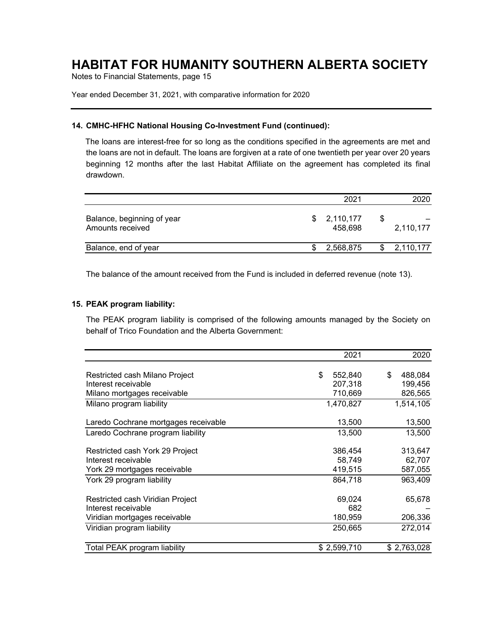Notes to Financial Statements, page 15

Year ended December 31, 2021, with comparative information for 2020

#### **14. CMHC-HFHC National Housing Co-Investment Fund (continued):**

The loans are interest-free for so long as the conditions specified in the agreements are met and the loans are not in default. The loans are forgiven at a rate of one twentieth per year over 20 years beginning 12 months after the last Habitat Affiliate on the agreement has completed its final drawdown.

|                                                | 2021                 | 2020            |
|------------------------------------------------|----------------------|-----------------|
| Balance, beginning of year<br>Amounts received | 2,110,177<br>458,698 | \$<br>2,110,177 |
| Balance, end of year                           | 2,568,875            | 2,110,177       |

The balance of the amount received from the Fund is included in deferred revenue (note 13).

#### **15. PEAK program liability:**

The PEAK program liability is comprised of the following amounts managed by the Society on behalf of Trico Foundation and the Alberta Government:

|                                      | 2021          | 2020          |
|--------------------------------------|---------------|---------------|
|                                      |               |               |
| Restricted cash Milano Project       | \$<br>552,840 | 488,084<br>\$ |
| Interest receivable                  | 207,318       | 199,456       |
| Milano mortgages receivable          | 710,669       | 826,565       |
| Milano program liability             | 1,470,827     | 1,514,105     |
| Laredo Cochrane mortgages receivable | 13,500        | 13,500        |
| Laredo Cochrane program liability    | 13,500        | 13,500        |
| Restricted cash York 29 Project      | 386,454       | 313,647       |
| Interest receivable                  | 58,749        | 62,707        |
| York 29 mortgages receivable         | 419,515       | 587,055       |
| York 29 program liability            | 864,718       | 963,409       |
| Restricted cash Viridian Project     | 69,024        | 65,678        |
| Interest receivable                  | 682           |               |
| Viridian mortgages receivable        | 180,959       | 206,336       |
| Viridian program liability           | 250,665       | 272,014       |
| Total PEAK program liability         | \$2,599,710   | \$2,763,028   |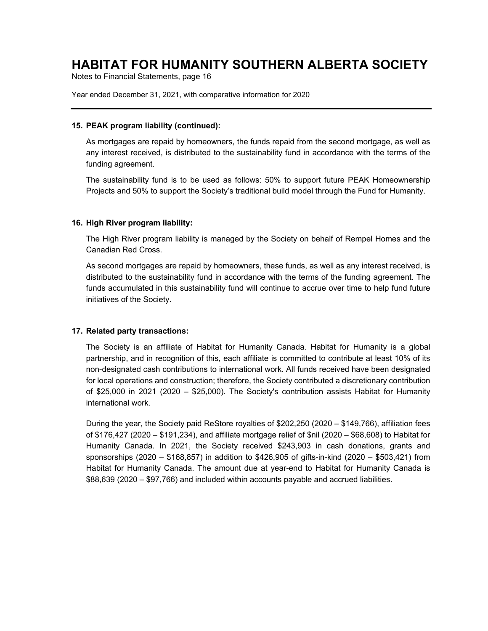Notes to Financial Statements, page 16

Year ended December 31, 2021, with comparative information for 2020

#### **15. PEAK program liability (continued):**

As mortgages are repaid by homeowners, the funds repaid from the second mortgage, as well as any interest received, is distributed to the sustainability fund in accordance with the terms of the funding agreement.

The sustainability fund is to be used as follows: 50% to support future PEAK Homeownership Projects and 50% to support the Society's traditional build model through the Fund for Humanity.

#### **16. High River program liability:**

The High River program liability is managed by the Society on behalf of Rempel Homes and the Canadian Red Cross.

As second mortgages are repaid by homeowners, these funds, as well as any interest received, is distributed to the sustainability fund in accordance with the terms of the funding agreement. The funds accumulated in this sustainability fund will continue to accrue over time to help fund future initiatives of the Society.

#### **17. Related party transactions:**

The Society is an affiliate of Habitat for Humanity Canada. Habitat for Humanity is a global partnership, and in recognition of this, each affiliate is committed to contribute at least 10% of its non-designated cash contributions to international work. All funds received have been designated for local operations and construction; therefore, the Society contributed a discretionary contribution of \$25,000 in 2021 (2020 – \$25,000). The Society's contribution assists Habitat for Humanity international work.

During the year, the Society paid ReStore royalties of \$202,250 (2020 – \$149,766), affiliation fees of \$176,427 (2020 – \$191,234), and affiliate mortgage relief of \$nil (2020 – \$68,608) to Habitat for Humanity Canada. In 2021, the Society received \$243,903 in cash donations, grants and sponsorships (2020 – \$168,857) in addition to \$426,905 of gifts-in-kind (2020 – \$503,421) from Habitat for Humanity Canada. The amount due at year-end to Habitat for Humanity Canada is \$88,639 (2020 – \$97,766) and included within accounts payable and accrued liabilities.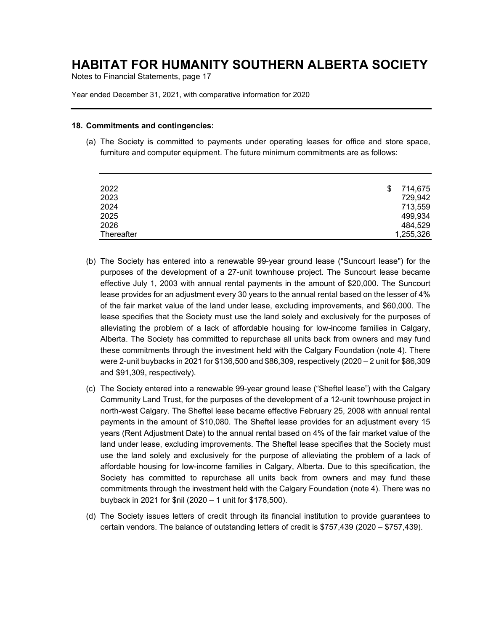Notes to Financial Statements, page 17

Year ended December 31, 2021, with comparative information for 2020

#### **18. Commitments and contingencies:**

(a) The Society is committed to payments under operating leases for office and store space, furniture and computer equipment. The future minimum commitments are as follows:

| 2022       | \$<br>714,675 |
|------------|---------------|
| 2023       | 729,942       |
| 2024       | 713,559       |
| 2025       | 499,934       |
| 2026       | 484,529       |
| Thereafter | 1,255,326     |

- (b) The Society has entered into a renewable 99-year ground lease ("Suncourt lease") for the purposes of the development of a 27-unit townhouse project. The Suncourt lease became effective July 1, 2003 with annual rental payments in the amount of \$20,000. The Suncourt lease provides for an adjustment every 30 years to the annual rental based on the lesser of 4% of the fair market value of the land under lease, excluding improvements, and \$60,000. The lease specifies that the Society must use the land solely and exclusively for the purposes of alleviating the problem of a lack of affordable housing for low-income families in Calgary, Alberta. The Society has committed to repurchase all units back from owners and may fund these commitments through the investment held with the Calgary Foundation (note 4). There were 2-unit buybacks in 2021 for \$136,500 and \$86,309, respectively (2020 – 2 unit for \$86,309 and \$91,309, respectively).
- (c) The Society entered into a renewable 99-year ground lease ("Sheftel lease") with the Calgary Community Land Trust, for the purposes of the development of a 12-unit townhouse project in north-west Calgary. The Sheftel lease became effective February 25, 2008 with annual rental payments in the amount of \$10,080. The Sheftel lease provides for an adjustment every 15 years (Rent Adjustment Date) to the annual rental based on 4% of the fair market value of the land under lease, excluding improvements. The Sheftel lease specifies that the Society must use the land solely and exclusively for the purpose of alleviating the problem of a lack of affordable housing for low-income families in Calgary, Alberta. Due to this specification, the Society has committed to repurchase all units back from owners and may fund these commitments through the investment held with the Calgary Foundation (note 4). There was no buyback in 2021 for \$nil (2020 – 1 unit for \$178,500).
- (d) The Society issues letters of credit through its financial institution to provide guarantees to certain vendors. The balance of outstanding letters of credit is \$757,439 (2020 – \$757,439).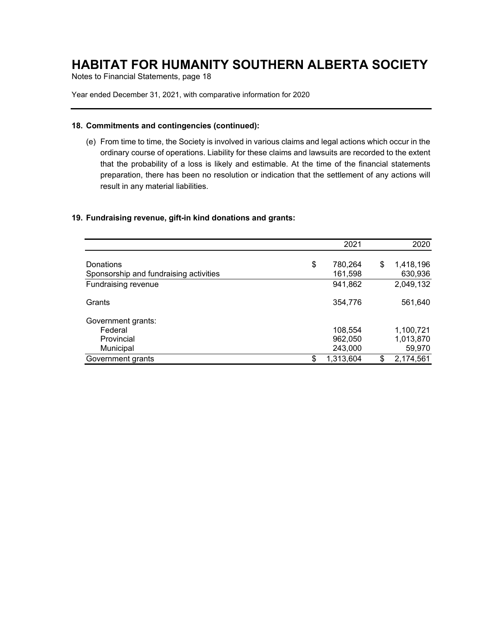Notes to Financial Statements, page 18

Year ended December 31, 2021, with comparative information for 2020

#### **18. Commitments and contingencies (continued):**

(e) From time to time, the Society is involved in various claims and legal actions which occur in the ordinary course of operations. Liability for these claims and lawsuits are recorded to the extent that the probability of a loss is likely and estimable. At the time of the financial statements preparation, there has been no resolution or indication that the settlement of any actions will result in any material liabilities.

#### **19. Fundraising revenue, gift-in kind donations and grants:**

|                                                     | 2021                     | 2020                       |
|-----------------------------------------------------|--------------------------|----------------------------|
| Donations<br>Sponsorship and fundraising activities | \$<br>780,264<br>161,598 | \$<br>1,418,196<br>630,936 |
| Fundraising revenue                                 | 941,862                  | 2,049,132                  |
| Grants                                              | 354,776                  | 561,640                    |
| Government grants:                                  |                          |                            |
| Federal                                             | 108,554                  | 1,100,721                  |
| Provincial                                          | 962,050                  | 1,013,870                  |
| Municipal                                           | 243,000                  | 59,970                     |
| Government grants                                   | \$<br>1,313,604          | \$<br>2,174,561            |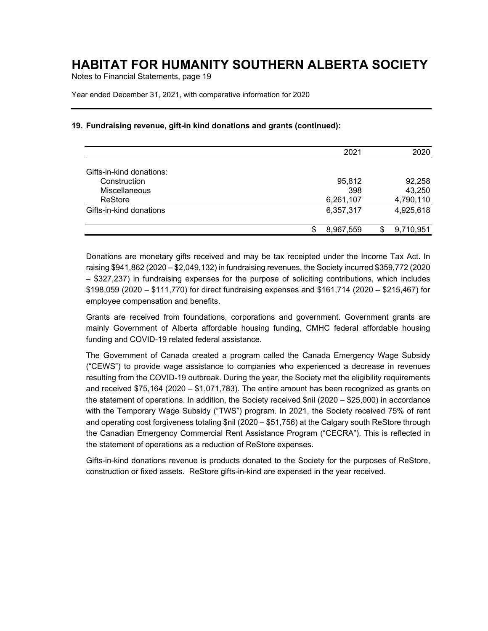Notes to Financial Statements, page 19

Year ended December 31, 2021, with comparative information for 2020

### 2021 2020 Gifts-in-kind donations: Construction 95,812 92,258 Miscellaneous 398 43,250 ReStore 6,261,107 4,790,110 Gifts-in-kind donations 6,357,317 4,925,618  $$8,967,559$   $$9,710,951$

#### **19. Fundraising revenue, gift-in kind donations and grants (continued):**

Donations are monetary gifts received and may be tax receipted under the Income Tax Act. In raising \$941,862 (2020 – \$2,049,132) in fundraising revenues, the Society incurred \$359,772 (2020 – \$327,237) in fundraising expenses for the purpose of soliciting contributions, which includes \$198,059 (2020 – \$111,770) for direct fundraising expenses and \$161,714 (2020 – \$215,467) for employee compensation and benefits.

Grants are received from foundations, corporations and government. Government grants are mainly Government of Alberta affordable housing funding, CMHC federal affordable housing funding and COVID-19 related federal assistance.

The Government of Canada created a program called the Canada Emergency Wage Subsidy ("CEWS") to provide wage assistance to companies who experienced a decrease in revenues resulting from the COVID-19 outbreak. During the year, the Society met the eligibility requirements and received \$75,164 (2020 – \$1,071,783). The entire amount has been recognized as grants on the statement of operations. In addition, the Society received \$nil (2020 – \$25,000) in accordance with the Temporary Wage Subsidy ("TWS") program. In 2021, the Society received 75% of rent and operating cost forgiveness totaling \$nil (2020 – \$51,756) at the Calgary south ReStore through the Canadian Emergency Commercial Rent Assistance Program ("CECRA"). This is reflected in the statement of operations as a reduction of ReStore expenses.

Gifts-in-kind donations revenue is products donated to the Society for the purposes of ReStore, construction or fixed assets. ReStore gifts-in-kind are expensed in the year received.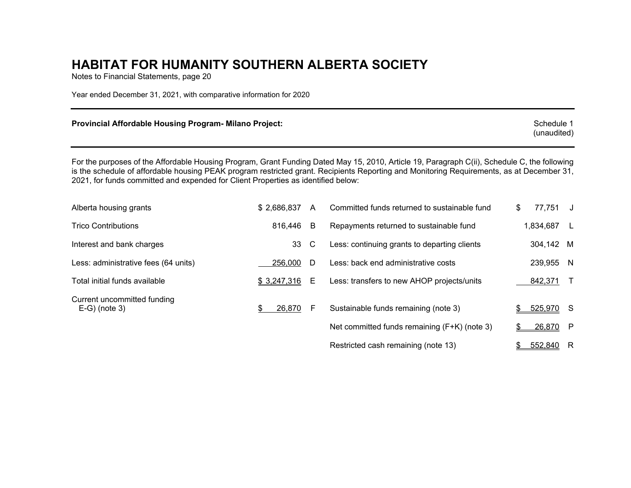Notes to Financial Statements, page 20

Year ended December 31, 2021, with comparative information for 2020

| <b>Provincial Affordable Housing Program- Milano Project:</b>                                                                                                                                                                                                                                                                                                                  |             |          |                                                        |           | Schedule 1<br>(unaudited) |         |  |  |
|--------------------------------------------------------------------------------------------------------------------------------------------------------------------------------------------------------------------------------------------------------------------------------------------------------------------------------------------------------------------------------|-------------|----------|--------------------------------------------------------|-----------|---------------------------|---------|--|--|
| For the purposes of the Affordable Housing Program, Grant Funding Dated May 15, 2010, Article 19, Paragraph C(ii), Schedule C, the following<br>is the schedule of affordable housing PEAK program restricted grant. Recipients Reporting and Monitoring Requirements, as at December 31,<br>2021, for funds committed and expended for Client Properties as identified below: |             |          |                                                        |           |                           |         |  |  |
| Alberta housing grants                                                                                                                                                                                                                                                                                                                                                         | \$2,686,837 | A        | Committed funds returned to sustainable fund           | \$        | 77,751                    |         |  |  |
| <b>Trico Contributions</b>                                                                                                                                                                                                                                                                                                                                                     | 816,446     | B.       | Repayments returned to sustainable fund                | 1,834,687 |                           | $\perp$ |  |  |
| Interest and bank charges                                                                                                                                                                                                                                                                                                                                                      | 33          | - C      | Less: continuing grants to departing clients           |           | 304,142 M                 |         |  |  |
| Less: administrative fees (64 units)                                                                                                                                                                                                                                                                                                                                           | 256,000     | D        | Less: back end administrative costs                    |           | 239,955                   | - N     |  |  |
| Total initial funde available                                                                                                                                                                                                                                                                                                                                                  |             | <b>C</b> | $l$ ass: transfers to now $\Lambda$ HOD projects/unite |           | 912271                    |         |  |  |

| TULAI IITILIAI TUHUS AVAIIADIG                  | <u> טוט, ו<del>ו</del> ג, טיט</u> |       | Less. Inditional to hew Artor projects/units | 042, JII  |  |
|-------------------------------------------------|-----------------------------------|-------|----------------------------------------------|-----------|--|
| Current uncommitted funding<br>$E-G$ ) (note 3) | 26.870                            | - F I | Sustainable funds remaining (note 3)         | 525.970 S |  |
|                                                 |                                   |       | Net committed funds remaining (F+K) (note 3) | 26.870    |  |

Restricted cash remaining (note 13)  $$552,840$  R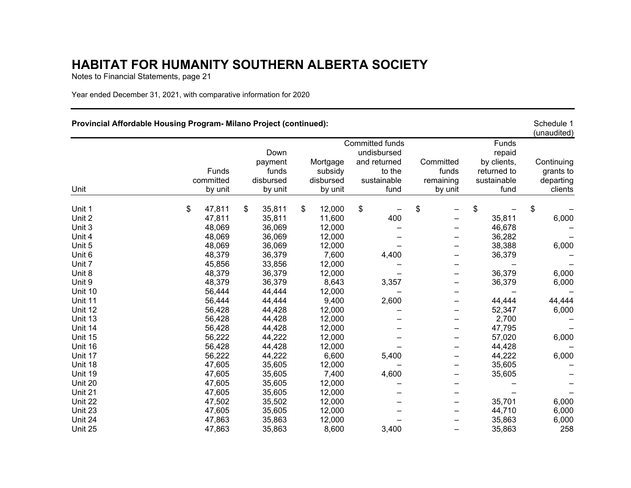Notes to Financial Statements, page 21

Year ended December 31, 2021, with comparative information for 2020

| Provincial Affordable Housing Program-Milano Project (continued): |              |              |              |                        |           |             | Schedule 1<br>(unaudited) |
|-------------------------------------------------------------------|--------------|--------------|--------------|------------------------|-----------|-------------|---------------------------|
|                                                                   |              |              |              | <b>Committed funds</b> |           | Funds       |                           |
|                                                                   |              | Down         |              | undisbursed            |           | repaid      |                           |
|                                                                   |              | payment      | Mortgage     | and returned           | Committed | by clients, | Continuing                |
|                                                                   | Funds        | funds        | subsidy      | to the                 | funds     | returned to | grants to                 |
|                                                                   | committed    | disbursed    | disbursed    | sustainable            | remaining | sustainable | departing                 |
| Unit                                                              | by unit      | by unit      | by unit      | fund                   | by unit   | fund        | clients                   |
| Unit 1                                                            | \$<br>47,811 | \$<br>35,811 | \$<br>12,000 | \$                     | \$        | \$          | \$                        |
| Unit 2                                                            | 47,811       | 35,811       | 11,600       | 400                    | —         | 35,811      | 6,000                     |
| Unit 3                                                            | 48,069       | 36,069       | 12,000       |                        |           | 46,678      |                           |
| Unit 4                                                            | 48,069       | 36,069       | 12,000       |                        | ÷,        | 36,282      |                           |
| Unit 5                                                            | 48,069       | 36,069       | 12,000       |                        |           | 38,388      | 6,000                     |
| Unit 6                                                            | 48,379       | 36,379       | 7,600        | 4,400                  |           | 36,379      |                           |
| Unit 7                                                            | 45,856       | 33,856       | 12,000       |                        |           |             |                           |
| Unit 8                                                            | 48,379       | 36,379       | 12,000       |                        |           | 36,379      | 6,000                     |
| Unit 9                                                            | 48,379       | 36,379       | 8,643        | 3,357                  |           | 36,379      | 6,000                     |
| Unit 10                                                           | 56,444       | 44,444       | 12,000       |                        |           |             |                           |
| Unit 11                                                           | 56,444       | 44,444       | 9,400        | 2,600                  | $\sim$    | 44,444      | 44,444                    |
| Unit 12                                                           | 56,428       | 44,428       | 12,000       |                        | ÷         | 52,347      | 6,000                     |
| Unit 13                                                           | 56,428       | 44,428       | 12,000       |                        | —         | 2,700       |                           |
| Unit 14                                                           | 56,428       | 44,428       | 12,000       |                        | —         | 47,795      |                           |
| Unit 15                                                           | 56,222       | 44,222       | 12,000       |                        | —         | 57,020      | 6,000                     |
| Unit 16                                                           | 56,428       | 44,428       | 12,000       |                        | ÷         | 44,428      |                           |
| Unit 17                                                           | 56,222       | 44,222       | 6,600        | 5,400                  |           | 44,222      | 6,000                     |
| Unit 18                                                           | 47,605       | 35,605       | 12,000       |                        |           | 35,605      |                           |
| Unit 19                                                           | 47,605       | 35,605       | 7,400        | 4,600                  |           | 35,605      |                           |
| Unit 20                                                           | 47,605       | 35,605       | 12,000       |                        |           |             |                           |
| Unit 21                                                           | 47,605       | 35,605       | 12,000       |                        |           |             |                           |
| Unit 22                                                           | 47,502       | 35,502       | 12,000       |                        | —         | 35,701      | 6,000                     |
| Unit 23                                                           | 47,605       | 35,605       | 12,000       |                        |           | 44,710      | 6,000                     |
| Unit 24                                                           | 47,863       | 35,863       | 12,000       |                        |           | 35,863      | 6,000                     |
| Unit 25                                                           | 47,863       | 35,863       | 8,600        | 3,400                  |           | 35,863      | 258                       |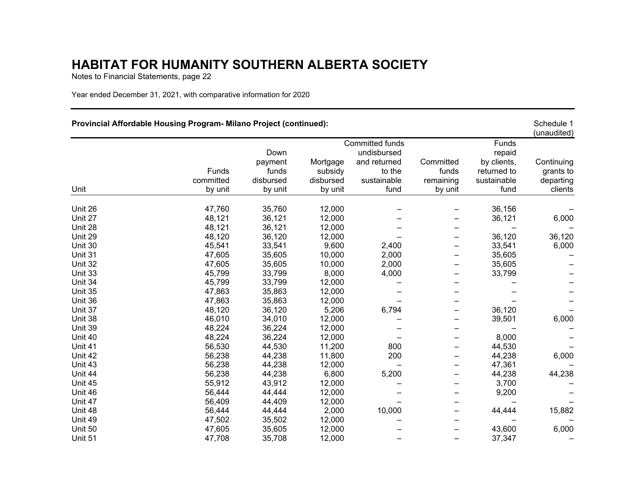Notes to Financial Statements, page 22

Year ended December 31, 2021, with comparative information for 2020

| Provincial Affordable Housing Program- Milano Project (continued): | Schedule 1 |
|--------------------------------------------------------------------|------------|
|--------------------------------------------------------------------|------------|

|         | Provincial Affordable Housing Program- Milano Project (continued): |           |           |                 |           |             | Schedule 1<br>(unaudited) |
|---------|--------------------------------------------------------------------|-----------|-----------|-----------------|-----------|-------------|---------------------------|
|         |                                                                    |           |           | Committed funds |           | Funds       |                           |
|         |                                                                    | Down      |           | undisbursed     |           | repaid      |                           |
|         |                                                                    | payment   | Mortgage  | and returned    | Committed | by clients, | Continuing                |
|         | Funds                                                              | funds     | subsidy   | to the          | funds     | returned to | grants to                 |
|         | committed                                                          | disbursed | disbursed | sustainable     | remaining | sustainable | departing                 |
| Unit    | by unit                                                            | by unit   | by unit   | fund            | by unit   | fund        | clients                   |
| Unit 26 | 47,760                                                             | 35,760    | 12,000    |                 |           | 36,156      |                           |
| Unit 27 | 48,121                                                             | 36,121    | 12,000    |                 |           | 36,121      | 6,000                     |
| Unit 28 | 48,121                                                             | 36,121    | 12,000    |                 |           |             |                           |
| Unit 29 | 48,120                                                             | 36,120    | 12,000    |                 |           | 36,120      | 36,120                    |
| Unit 30 | 45,541                                                             | 33,541    | 9,600     | 2,400           |           | 33,541      | 6,000                     |
| Unit 31 | 47,605                                                             | 35,605    | 10,000    | 2,000           | —         | 35,605      |                           |
| Unit 32 | 47,605                                                             | 35,605    | 10,000    | 2,000           | -         | 35,605      |                           |
| Unit 33 | 45,799                                                             | 33,799    | 8,000     | 4,000           | —         | 33,799      |                           |
| Unit 34 | 45,799                                                             | 33,799    | 12,000    |                 |           |             |                           |
| Unit 35 | 47,863                                                             | 35,863    | 12,000    |                 |           |             |                           |
| Unit 36 | 47,863                                                             | 35,863    | 12,000    |                 |           |             |                           |
| Unit 37 | 48,120                                                             | 36,120    | 5,206     | 6,794           | —         | 36,120      |                           |
| Unit 38 | 46,010                                                             | 34,010    | 12,000    |                 | —         | 39,501      | 6,000                     |
| Unit 39 | 48,224                                                             | 36,224    | 12,000    |                 | —         |             |                           |
| Unit 40 | 48,224                                                             | 36,224    | 12,000    |                 | —         | 8,000       |                           |
| Unit 41 | 56,530                                                             | 44,530    | 11,200    | 800             | —         | 44,530      |                           |
| Unit 42 | 56,238                                                             | 44,238    | 11,800    | 200             | —         | 44,238      | 6,000                     |
| Unit 43 | 56,238                                                             | 44,238    | 12,000    |                 |           | 47,361      |                           |
| Unit 44 | 56,238                                                             | 44,238    | 6,800     | 5,200           |           | 44,238      | 44,238                    |
| Unit 45 | 55,912                                                             | 43,912    | 12,000    |                 |           | 3,700       |                           |
| Unit 46 | 56,444                                                             | 44,444    | 12,000    |                 |           | 9,200       |                           |
| Unit 47 | 56,409                                                             | 44,409    | 12,000    |                 |           |             |                           |
| Unit 48 | 56,444                                                             | 44,444    | 2,000     | 10,000          |           | 44,444      | 15,882                    |
| Unit 49 | 47,502                                                             | 35,502    | 12,000    |                 |           |             |                           |
| Unit 50 | 47,605                                                             | 35,605    | 12,000    |                 |           | 43,600      | 6,000                     |
| Unit 51 | 47,708                                                             | 35,708    | 12,000    |                 |           | 37,347      |                           |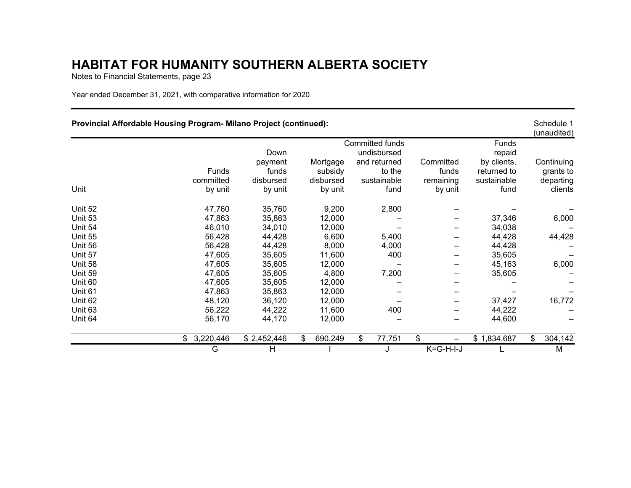Notes to Financial Statements, page 23

Year ended December 31, 2021, with comparative information for 2020

### **Provincial Affordable Housing Program- Milano Project (continued):** Schedule 1 Schedule 1 Committed funds Funds Down undisbursed repaid payment Mortgage and returned Committed by clients, Continuing Funds funds subsidy to the funds returned to grants to committed disbursed disbursed sustainable remaining sustainable departing Unit by unit by unit by unit fund clients Unit 52 47,760 35,760 9,200 2,800 – – – Unit 53 47,863 35,863 12,000 – – 37,346 6,000 Unit 54 46,010 34,010 12,000 – – 34,038 – Unit 55 56,428 44,428 6,600 5,400 – 44,428 44,428 Unit 56 56,428 44,428 8,000 4,000 – 44,428 – Unit 57 47,605 35,605 11,600 400 – 35,605 – Unit 58 47,605 35,605 12,000 – – 45,163 6,000 Unit 59 47,605 35,605 4,800 7,200 – 35,605 –

Unit 60 47,605 35,605 12,000 – – – – Unit 61 47,863 35,863 12,000 – – – – Unit 62 48,120 36,120 12,000 – – 37,427 16,772 Unit 63 56,222 44,222 11,600 400 – 44,222 – Unit 64 56,170 44,170 12,000 – – 44,600 –

 \$ 3,220,446 \$ 2,452,446 \$ 690,249 \$ 77,751 \$ – \$ 1,834,687 \$ 304,142 G H I J K=G-H-I-J L M

(unaudited)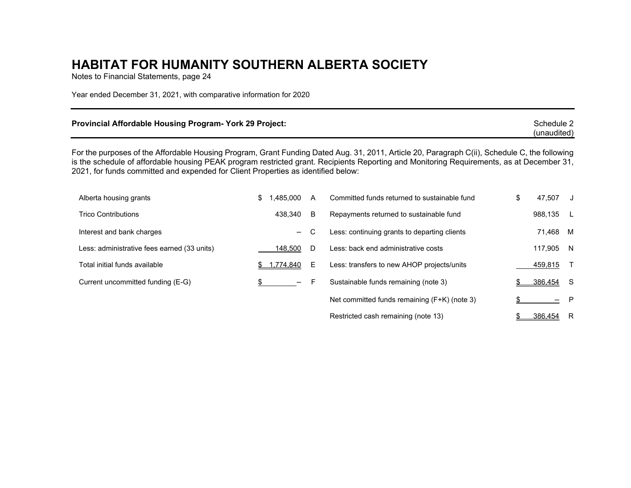Notes to Financial Statements, page 24

Year ended December 31, 2021, with comparative information for 2020

| Provincial Affordable Housing Program- York 29 Project: | Schedule 2  |
|---------------------------------------------------------|-------------|
|                                                         | (unaudited) |

For the purposes of the Affordable Housing Program, Grant Funding Dated Aug. 31, 2011, Article 20, Paragraph C(ii), Schedule C, the following is the schedule of affordable housing PEAK program restricted grant. Recipients Reporting and Monitoring Requirements, as at December 31, 2021, for funds committed and expended for Client Properties as identified below:

| Alberta housing grants                      | 1,485,000<br>\$   | A  | Committed funds returned to sustainable fund | \$<br>47.507 | J        |
|---------------------------------------------|-------------------|----|----------------------------------------------|--------------|----------|
| <b>Trico Contributions</b>                  | 438.340           | B  | Repayments returned to sustainable fund      | 988,135      |          |
| Interest and bank charges                   | $\qquad \qquad -$ | C  | Less: continuing grants to departing clients | 71,468 M     |          |
| Less: administrative fees earned (33 units) | 148,500           | D  | Less: back end administrative costs          | 117.905      | <b>N</b> |
| Total initial funds available               | \$1,774,840       | E. | Less: transfers to new AHOP projects/units   | 459,815      |          |
| Current uncommitted funding (E-G)           |                   |    | Sustainable funds remaining (note 3)         | 386,454      | S.       |
|                                             |                   |    | Net committed funds remaining (F+K) (note 3) |              | - P      |
|                                             |                   |    | Restricted cash remaining (note 13)          | 386.454      | R        |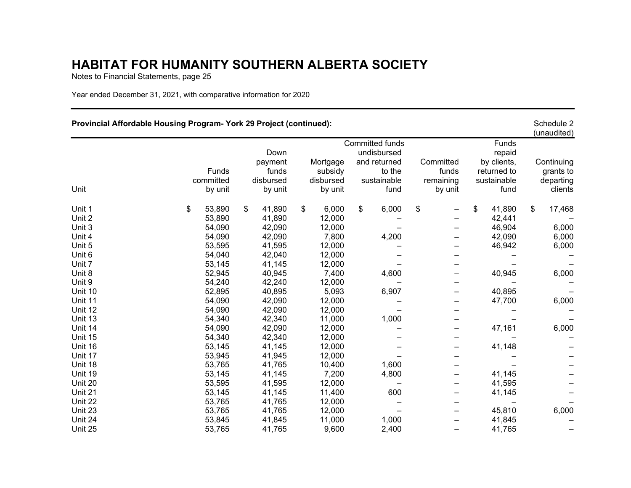Notes to Financial Statements, page 25

Year ended December 31, 2021, with comparative information for 2020

### **Provincial Affordable Housing Program- York 29 Project (continued):** Schedule 2 Schedule 2

|         |              |              |             |                 |           |              | (unaudited)  |
|---------|--------------|--------------|-------------|-----------------|-----------|--------------|--------------|
|         |              |              |             | Committed funds |           | Funds        |              |
|         |              | Down         |             | undisbursed     |           | repaid       |              |
|         |              | payment      | Mortgage    | and returned    | Committed | by clients,  | Continuing   |
|         | Funds        | funds        | subsidy     | to the          | funds     | returned to  | grants to    |
|         | committed    | disbursed    | disbursed   | sustainable     | remaining | sustainable  | departing    |
| Unit    | by unit      | by unit      | by unit     | fund            | by unit   | fund         | clients      |
| Unit 1  | \$<br>53,890 | \$<br>41,890 | \$<br>6,000 | \$<br>6,000     | \$        | \$<br>41,890 | \$<br>17,468 |
| Unit 2  | 53,890       | 41,890       | 12,000      |                 |           | 42,441       |              |
| Unit 3  | 54,090       | 42,090       | 12,000      |                 |           | 46,904       | 6,000        |
| Unit 4  | 54,090       | 42,090       | 7,800       | 4,200           |           | 42,090       | 6,000        |
| Unit 5  | 53,595       | 41,595       | 12,000      |                 |           | 46,942       | 6,000        |
| Unit 6  | 54,040       | 42,040       | 12,000      |                 |           |              |              |
| Unit 7  | 53,145       | 41,145       | 12,000      |                 |           |              |              |
| Unit 8  | 52,945       | 40,945       | 7,400       | 4,600           |           | 40,945       | 6,000        |
| Unit 9  | 54,240       | 42,240       | 12,000      |                 |           |              |              |
| Unit 10 | 52,895       | 40,895       | 5,093       | 6,907           |           | 40,895       |              |
| Unit 11 | 54,090       | 42,090       | 12,000      |                 |           | 47,700       | 6,000        |
| Unit 12 | 54,090       | 42,090       | 12,000      |                 |           |              |              |
| Unit 13 | 54,340       | 42,340       | 11,000      | 1,000           |           |              |              |
| Unit 14 | 54,090       | 42,090       | 12,000      |                 |           | 47,161       | 6,000        |
| Unit 15 | 54,340       | 42,340       | 12,000      |                 |           |              |              |
| Unit 16 | 53,145       | 41,145       | 12,000      |                 |           | 41,148       |              |
| Unit 17 | 53,945       | 41,945       | 12,000      |                 |           |              |              |
| Unit 18 | 53,765       | 41,765       | 10,400      | 1,600           |           |              |              |
| Unit 19 | 53,145       | 41,145       | 7,200       | 4,800           |           | 41,145       |              |
| Unit 20 | 53,595       | 41,595       | 12,000      |                 |           | 41,595       |              |
| Unit 21 | 53,145       | 41,145       | 11,400      | 600             |           | 41,145       |              |
| Unit 22 | 53,765       | 41,765       | 12,000      |                 |           |              |              |
| Unit 23 | 53,765       | 41,765       | 12,000      |                 |           | 45,810       | 6,000        |
| Unit 24 | 53,845       | 41,845       | 11,000      | 1,000           |           | 41,845       |              |
| Unit 25 | 53,765       | 41,765       | 9,600       | 2,400           |           | 41,765       |              |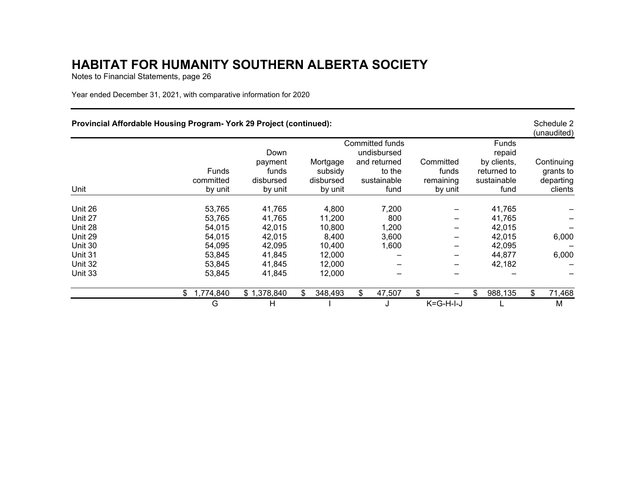Notes to Financial Statements, page 26

Year ended December 31, 2021, with comparative information for 2020

### **Provincial Affordable Housing Program- York 29 Project (continued):** Schedule 2 Schedule 2 (unaudited) Committed funds Funds Down undisbursed repaid payment Mortgage and returned Committed by clients, Continuing Funds funds subsidy to the funds returned to grants to committed disbursed disbursed sustainable remaining sustainable departing Unit by unit by unit by unit fund clients Unit 26 53,765 41,765 4,800 7,200 – 41,765 – Unit 27 53,765 41,765 11,200 800 – 41,765 – Unit 28 54,015 42,015 10,800 1,200 – 42,015 – Unit 29 54,015 42,015 8,400 3,600 – 42,015 6,000 Unit 30 54,095 42,095 10,400 1,600 – 42,095 – Unit 31 53,845 41,845 12,000 – – 44,877 6,000 Unit 32 53,845 41,845 12,000 – – 42,182 – Unit 33 53,845 41,845 12,000 – – – – \$ 1,774,840 \$ 1,378,840 \$ 348,493 \$ 47,507 \$ – \$ 988,135 \$ 71,468 G H I J K=G-H-I-J L M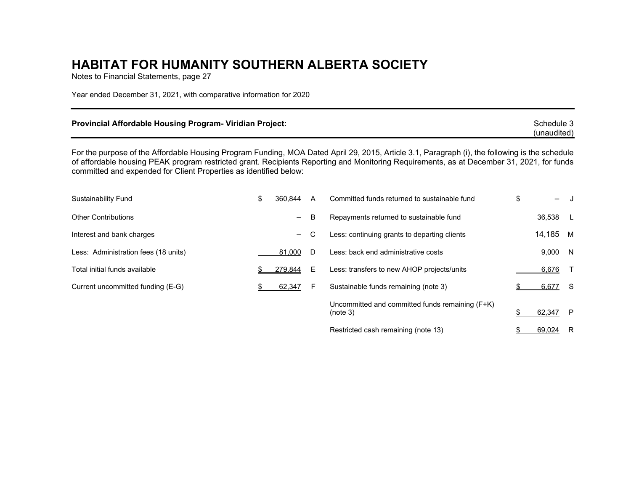Notes to Financial Statements, page 27

Year ended December 31, 2021, with comparative information for 2020

| <b>Provincial Affordable Housing Program- Viridian Project:</b> | Schedule 3  |
|-----------------------------------------------------------------|-------------|
|                                                                 | (unaudited) |

For the purpose of the Affordable Housing Program Funding, MOA Dated April 29, 2015, Article 3.1, Paragraph (i), the following is the schedule of affordable housing PEAK program restricted grant. Recipients Reporting and Monitoring Requirements, as at December 31, 2021, for funds committed and expended for Client Properties as identified below:

| <b>Sustainability Fund</b>           | \$  | 360.844                  | A  | Committed funds returned to sustainable fund                | \$       |              |
|--------------------------------------|-----|--------------------------|----|-------------------------------------------------------------|----------|--------------|
| <b>Other Contributions</b>           |     | $\overline{\phantom{0}}$ | B  | Repayments returned to sustainable fund                     | 36,538   | - L          |
| Interest and bank charges            |     | $\qquad \qquad -$        | C  | Less: continuing grants to departing clients                | 14,185 M |              |
| Less: Administration fees (18 units) |     | 81,000                   | D  | Less: back end administrative costs                         | 9,000 N  |              |
| Total initial funds available        |     | 279,844                  | E. | Less: transfers to new AHOP projects/units                  | 6,676    |              |
| Current uncommitted funding (E-G)    | \$. | 62,347                   | F. | Sustainable funds remaining (note 3)                        | 6.677    | - S          |
|                                      |     |                          |    | Uncommitted and committed funds remaining (F+K)<br>(note 3) | 62,347   | $\mathsf{P}$ |
|                                      |     |                          |    | Restricted cash remaining (note 13)                         | 69.024   | R            |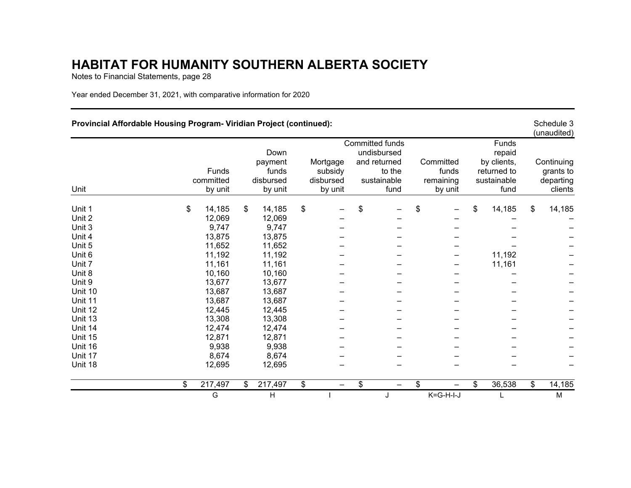Notes to Financial Statements, page 28

Year ended December 31, 2021, with comparative information for 2020

| Provincial Affordable Housing Program- Viridian Project (continued): |                               |                |                                                  |                                             |                                                                                 |                                            |                                                                      | Schedule 3<br>(unaudited)                       |
|----------------------------------------------------------------------|-------------------------------|----------------|--------------------------------------------------|---------------------------------------------|---------------------------------------------------------------------------------|--------------------------------------------|----------------------------------------------------------------------|-------------------------------------------------|
| Unit                                                                 | Funds<br>committed<br>by unit |                | Down<br>payment<br>funds<br>disbursed<br>by unit | Mortgage<br>subsidy<br>disbursed<br>by unit | Committed funds<br>undisbursed<br>and returned<br>to the<br>sustainable<br>fund | Committed<br>funds<br>remaining<br>by unit | Funds<br>repaid<br>by clients,<br>returned to<br>sustainable<br>fund | Continuing<br>grants to<br>departing<br>clients |
| Unit 1                                                               | \$<br>14,185                  | \$             | 14,185                                           | \$                                          | \$                                                                              | \$                                         | \$<br>14,185                                                         | \$<br>14,185                                    |
| Unit 2                                                               | 12,069                        |                | 12,069                                           |                                             |                                                                                 |                                            |                                                                      |                                                 |
| Unit 3                                                               | 9,747                         |                | 9,747                                            |                                             |                                                                                 |                                            |                                                                      |                                                 |
| Unit 4                                                               | 13,875                        |                | 13,875                                           |                                             |                                                                                 |                                            |                                                                      |                                                 |
| Unit 5                                                               | 11,652                        |                | 11,652                                           |                                             |                                                                                 |                                            |                                                                      |                                                 |
| Unit 6                                                               | 11,192                        |                | 11,192                                           |                                             |                                                                                 |                                            | 11,192                                                               |                                                 |
| Unit 7                                                               | 11,161                        |                | 11,161                                           |                                             |                                                                                 |                                            | 11,161                                                               |                                                 |
| Unit 8                                                               | 10,160                        |                | 10,160                                           |                                             |                                                                                 |                                            |                                                                      |                                                 |
| Unit 9                                                               | 13,677                        |                | 13,677                                           |                                             |                                                                                 |                                            |                                                                      |                                                 |
| Unit 10                                                              | 13,687                        |                | 13,687                                           |                                             |                                                                                 |                                            |                                                                      |                                                 |
| Unit 11                                                              | 13,687                        |                | 13,687                                           |                                             |                                                                                 |                                            |                                                                      |                                                 |
| Unit 12                                                              | 12,445                        |                | 12,445                                           |                                             |                                                                                 |                                            |                                                                      |                                                 |
| Unit 13                                                              | 13,308                        |                | 13,308                                           |                                             |                                                                                 |                                            |                                                                      |                                                 |
| Unit 14                                                              | 12,474                        |                | 12,474                                           |                                             |                                                                                 |                                            |                                                                      |                                                 |
| Unit 15                                                              | 12,871                        |                | 12,871                                           |                                             |                                                                                 |                                            |                                                                      |                                                 |
| Unit 16                                                              | 9,938                         |                | 9,938                                            |                                             |                                                                                 |                                            |                                                                      |                                                 |
| Unit 17                                                              | 8,674                         |                | 8,674                                            |                                             |                                                                                 |                                            |                                                                      |                                                 |
| Unit 18                                                              | 12,695                        |                | 12,695                                           |                                             |                                                                                 |                                            |                                                                      |                                                 |
|                                                                      | \$<br>217,497                 | $\mathfrak{S}$ | 217,497                                          | \$<br>$\overline{\phantom{0}}$              | \$<br>$\qquad \qquad$                                                           | \$                                         | \$<br>36,538                                                         | \$<br>14,185                                    |
|                                                                      | G                             |                | н                                                |                                             |                                                                                 | $K = G - H - I - J$                        |                                                                      | M                                               |